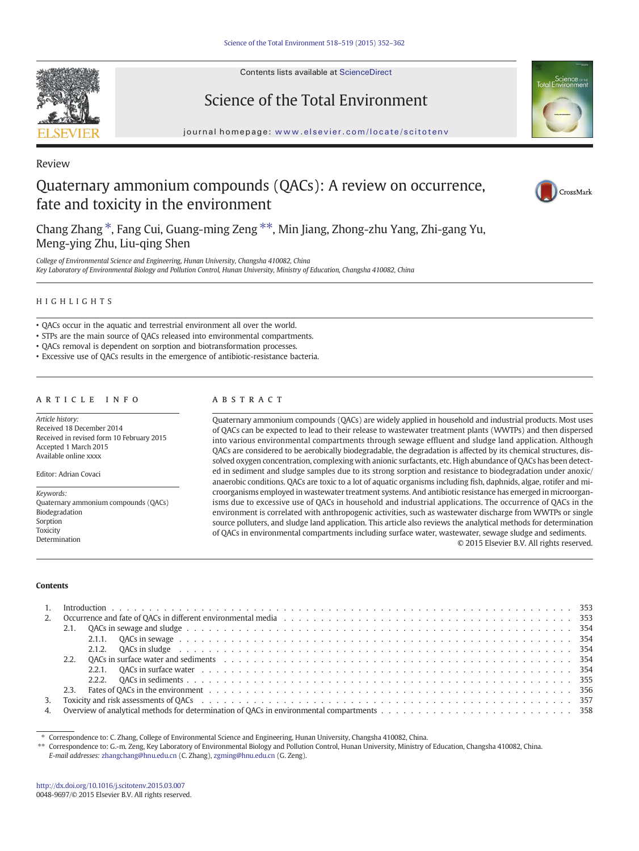Contents lists available at ScienceDirect

# Science of the Total Environment

journal homepage: <www.elsevier.com/locate/scitotenv>

Review

## Quaternary ammonium compounds (QACs): A review on occurrence, fate and toxicity in the environment



Chang Zhang ⁎, Fang Cui, Guang-ming Zeng ⁎⁎, Min Jiang, Zhong-zhu Yang, Zhi-gang Yu, Meng-ying Zhu, Liu-qing Shen

College of Environmental Science and Engineering, Hunan University, Changsha 410082, China Key Laboratory of Environmental Biology and Pollution Control, Hunan University, Ministry of Education, Changsha 410082, China

### HIGHLIGHTS

- QACs occur in the aquatic and terrestrial environment all over the world.
- STPs are the main source of QACs released into environmental compartments.
- QACs removal is dependent on sorption and biotransformation processes.
- Excessive use of QACs results in the emergence of antibiotic-resistance bacteria.

#### article info abstract

Article history: Received 18 December 2014 Received in revised form 10 February 2015 Accepted 1 March 2015 Available online xxxx

Editor: Adrian Covaci

Keywords: Quaternary ammonium compounds (QACs) Biodegradation Sorption **Toxicity** Determination

Quaternary ammonium compounds (QACs) are widely applied in household and industrial products. Most uses of QACs can be expected to lead to their release to wastewater treatment plants (WWTPs) and then dispersed into various environmental compartments through sewage effluent and sludge land application. Although QACs are considered to be aerobically biodegradable, the degradation is affected by its chemical structures, dissolved oxygen concentration, complexing with anionic surfactants, etc. High abundance of QACs has been detected in sediment and sludge samples due to its strong sorption and resistance to biodegradation under anoxic/ anaerobic conditions. QACs are toxic to a lot of aquatic organisms including fish, daphnids, algae, rotifer and microorganisms employed in wastewater treatment systems. And antibiotic resistance has emerged in microorganisms due to excessive use of QACs in household and industrial applications. The occurrence of QACs in the environment is correlated with anthropogenic activities, such as wastewater discharge from WWTPs or single source polluters, and sludge land application. This article also reviews the analytical methods for determination of QACs in environmental compartments including surface water, wastewater, sewage sludge and sediments.

© 2015 Elsevier B.V. All rights reserved.

#### **Contents**

|              | 2. Occurrence and fate of OACs in different environmental media entersional entersion of the content of the state of OACs in different environmental media entersion of the content of the content of the content of the conte |  |  |  |  |  |  |  |  |
|--------------|--------------------------------------------------------------------------------------------------------------------------------------------------------------------------------------------------------------------------------|--|--|--|--|--|--|--|--|
|              |                                                                                                                                                                                                                                |  |  |  |  |  |  |  |  |
|              |                                                                                                                                                                                                                                |  |  |  |  |  |  |  |  |
|              | 2.1.2. OACs in sludge received as a series of the control of the control of the control of the control of the c                                                                                                                |  |  |  |  |  |  |  |  |
|              | 2.2. OACs in surface water and sediments enterprise on the content of the content of the content of the content of the content of the content of the content of the content of the content of the content of the content of th |  |  |  |  |  |  |  |  |
|              |                                                                                                                                                                                                                                |  |  |  |  |  |  |  |  |
|              |                                                                                                                                                                                                                                |  |  |  |  |  |  |  |  |
|              |                                                                                                                                                                                                                                |  |  |  |  |  |  |  |  |
|              |                                                                                                                                                                                                                                |  |  |  |  |  |  |  |  |
| $\mathbf{A}$ |                                                                                                                                                                                                                                |  |  |  |  |  |  |  |  |

⁎ Correspondence to: C. Zhang, College of Environmental Science and Engineering, Hunan University, Changsha 410082, China.

\*\* Correspondence to: G.-m. Zeng, Key Laboratory of Environmental Biology and Pollution Control, Hunan University, Ministry of Education, Changsha 410082, China. E-mail addresses: [zhangchang@hnu.edu.cn](mailto:zhangchang@hnu.edu.cn) (C. Zhang), [zgming@hnu.edu.cn](mailto:zgming@hnu.edu.cn) (G. Zeng).

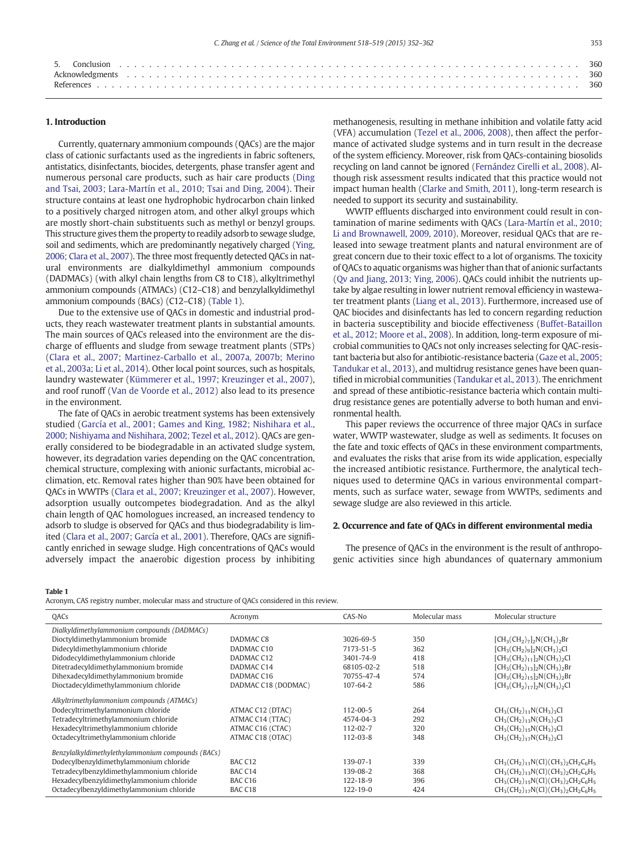| 5.<br>Conclusion | 360 |
|------------------|-----|
|                  | 360 |
| References       | 360 |

#### 1. Introduction

Currently, quaternary ammonium compounds (QACs) are the major class of cationic surfactants used as the ingredients in fabric softeners, antistatics, disinfectants, biocides, detergents, phase transfer agent and numerous personal care products, such as hair care products [\(Ding](#page-8-0) [and Tsai, 2003; Lara-Martín et al., 2010; Tsai and Ding, 2004\)](#page-8-0). Their structure contains at least one hydrophobic hydrocarbon chain linked to a positively charged nitrogen atom, and other alkyl groups which are mostly short-chain substituents such as methyl or benzyl groups. This structure gives them the property to readily adsorb to sewage sludge, soil and sediments, which are predominantly negatively charged [\(Ying,](#page-10-0) [2006; Clara et al., 2007\)](#page-10-0). The three most frequently detected QACs in natural environments are dialkyldimethyl ammonium compounds (DADMACs) (with alkyl chain lengths from C8 to C18), alkyltrimethyl ammonium compounds (ATMACs) (C12–C18) and benzylalkyldimethyl ammonium compounds (BACs) (C12–C18) (Table 1).

Due to the extensive use of QACs in domestic and industrial products, they reach wastewater treatment plants in substantial amounts. The main sources of QACs released into the environment are the discharge of effluents and sludge from sewage treatment plants (STPs) [\(Clara et al., 2007; Martinez-Carballo et al., 2007a, 2007b; Merino](#page-8-0) [et al., 2003a; Li et al., 2014\)](#page-8-0). Other local point sources, such as hospitals, laundry wastewater ([Kümmerer et al., 1997; Kreuzinger et al., 2007](#page-9-0)), and roof runoff ([Van de Voorde et al., 2012](#page-10-0)) also lead to its presence in the environment.

The fate of QACs in aerobic treatment systems has been extensively studied ([García et al., 2001; Games and King, 1982; Nishihara et al.,](#page-8-0) [2000; Nishiyama and Nishihara, 2002; Tezel et al., 2012](#page-8-0)). QACs are generally considered to be biodegradable in an activated sludge system, however, its degradation varies depending on the QAC concentration, chemical structure, complexing with anionic surfactants, microbial acclimation, etc. Removal rates higher than 90% have been obtained for QACs in WWTPs [\(Clara et al., 2007; Kreuzinger et al., 2007\)](#page-8-0). However, adsorption usually outcompetes biodegradation. And as the alkyl chain length of QAC homologues increased, an increased tendency to adsorb to sludge is observed for QACs and thus biodegradability is limited [\(Clara et al., 2007; García et al., 2001\)](#page-8-0). Therefore, QACs are significantly enriched in sewage sludge. High concentrations of QACs would adversely impact the anaerobic digestion process by inhibiting methanogenesis, resulting in methane inhibition and volatile fatty acid (VFA) accumulation [\(Tezel et al., 2006, 2008\)](#page-10-0), then affect the performance of activated sludge systems and in turn result in the decrease of the system efficiency. Moreover, risk from QACs-containing biosolids recycling on land cannot be ignored [\(Fernández Cirelli et al., 2008\)](#page-8-0). Although risk assessment results indicated that this practice would not impact human health ([Clarke and Smith, 2011](#page-8-0)), long-term research is needed to support its security and sustainability.

WWTP effluents discharged into environment could result in contamination of marine sediments with QACs ([Lara-Martín et al., 2010;](#page-9-0) [Li and Brownawell, 2009, 2010](#page-9-0)). Moreover, residual QACs that are released into sewage treatment plants and natural environment are of great concern due to their toxic effect to a lot of organisms. The toxicity of QACs to aquatic organisms was higher than that of anionic surfactants [\(Qv and Jiang, 2013; Ying, 2006](#page-9-0)). QACs could inhibit the nutrients uptake by algae resulting in lower nutrient removal efficiency in wastewater treatment plants [\(Liang et al., 2013\)](#page-9-0). Furthermore, increased use of QAC biocides and disinfectants has led to concern regarding reduction in bacteria susceptibility and biocide effectiveness ([Buffet-Bataillon](#page-8-0) [et al., 2012; Moore et al., 2008\)](#page-8-0). In addition, long-term exposure of microbial communities to QACs not only increases selecting for QAC-resistant bacteria but also for antibiotic-resistance bacteria ([Gaze et al., 2005;](#page-8-0) [Tandukar et al., 2013\)](#page-8-0), and multidrug resistance genes have been quantified in microbial communities ([Tandukar et al., 2013\)](#page-10-0). The enrichment and spread of these antibiotic-resistance bacteria which contain multidrug resistance genes are potentially adverse to both human and environmental health.

This paper reviews the occurrence of three major QACs in surface water, WWTP wastewater, sludge as well as sediments. It focuses on the fate and toxic effects of QACs in these environment compartments, and evaluates the risks that arise from its wide application, especially the increased antibiotic resistance. Furthermore, the analytical techniques used to determine QACs in various environmental compartments, such as surface water, sewage from WWTPs, sediments and sewage sludge are also reviewed in this article.

#### 2. Occurrence and fate of QACs in different environmental media

The presence of QACs in the environment is the result of anthropogenic activities since high abundances of quaternary ammonium

Table 1

Acronym, CAS registry number, molecular mass and structure of QACs considered in this review.

| <b>QACs</b>                                       | Acronym             | CAS-No         | Molecular mass | Molecular structure                      |  |  |
|---------------------------------------------------|---------------------|----------------|----------------|------------------------------------------|--|--|
| Dialkyldimethylammonium compounds (DADMACs)       |                     |                |                |                                          |  |  |
| Dioctyldimethylammonium bromide                   | DADMAC C8           | 3026-69-5      | 350            | $[CH_3(CH_2)_7]_2N(CH_3)_2Br$            |  |  |
| Didecyldimethylammonium chloride                  | DADMAC C10          | 7173-51-5      | 362            | $[CH_3(CH_2)_9]_2N(CH_3)_2Cl$            |  |  |
| Didodecyldimethylammonium chloride                | DADMAC C12          | 3401-74-9      | 418            | $[CH_3(CH_2)_{11}]_2N(CH_3)_2Cl$         |  |  |
| Ditetradecyldimethylammonium bromide              | DADMAC C14          | 68105-02-2     | 518            | $[CH_3(CH_2)_{13}]_2N(CH_3)_2Br$         |  |  |
| Dihexadecyldimethylammonium bromide               | DADMAC C16          | 70755-47-4     | 574            | $[CH_3(CH_2)_{15}]_2N(CH_3)_2Br$         |  |  |
| Dioctadecyldimethylammonium chloride              | DADMAC C18 (DODMAC) | 107-64-2       | 586            | $[CH_3(CH_2)_{17}]_2N(CH_3)_2Cl$         |  |  |
| Alkyltrimethylammonium compounds (ATMACs)         |                     |                |                |                                          |  |  |
| Dodecyltrimethylammonium chloride                 | ATMAC C12 (DTAC)    | $112 - 00 - 5$ | 264            | $CH_3(CH_2)_{11}N(CH_3)_{3}Cl$           |  |  |
| Tetradecyltrimethylammonium chloride              | ATMAC C14 (TTAC)    | 4574-04-3      | 292            | $CH_3(CH_2)_{13}N(CH_3)_{3}Cl$           |  |  |
| Hexadecyltrimethylammonium chloride               | ATMAC C16 (CTAC)    | $112 - 02 - 7$ | 320            | $CH_3(CH_2)_{15}N(CH_3)_{3}Cl$           |  |  |
| Octadecyltrimethylammonium chloride               | ATMAC C18 (OTAC)    | $112 - 03 - 8$ | 348            | $CH_3(CH_2)_{17}N(CH_3)_{3}Cl$           |  |  |
| Benzylalkyldimethylethylammonium compounds (BACs) |                     |                |                |                                          |  |  |
| Dodecylbenzyldimethylammonium chloride            | BAC C12             | 139-07-1       | 339            | $CH_3(CH_2)_{11}N(Cl)(CH_3)_2CH_2C_6H_5$ |  |  |
| Tetradecylbenzyldimethylammonium chloride         | BAC C14             | 139-08-2       | 368            | $CH_3(CH_2)_{13}N(Cl)(CH_3)_2CH_2C_6H_5$ |  |  |
| Hexadecylbenzyldimethylammonium chloride          | BAC C16             | $122 - 18 - 9$ | 396            | $CH_3(CH_2)_{15}N(Cl)(CH_3)_2CH_2C_6H_5$ |  |  |
| Octadecylbenzyldimethylammonium chloride          | BAC C18             | $122 - 19 - 0$ | 424            | $CH_3(CH_2)_{17}N(Cl)(CH_3)_2CH_2C_6H_5$ |  |  |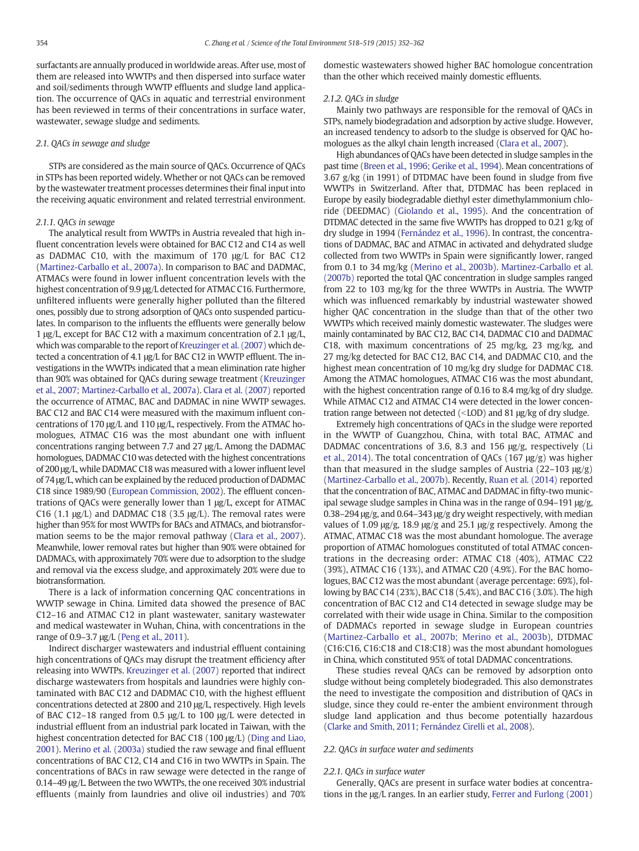surfactants are annually produced in worldwide areas. After use, most of them are released into WWTPs and then dispersed into surface water and soil/sediments through WWTP effluents and sludge land application. The occurrence of QACs in aquatic and terrestrial environment has been reviewed in terms of their concentrations in surface water, wastewater, sewage sludge and sediments.

#### 2.1. QACs in sewage and sludge

STPs are considered as the main source of QACs. Occurrence of QACs in STPs has been reported widely. Whether or not QACs can be removed by the wastewater treatment processes determines their final input into the receiving aquatic environment and related terrestrial environment.

#### 2.1.1. QACs in sewage

The analytical result from WWTPs in Austria revealed that high influent concentration levels were obtained for BAC C12 and C14 as well as DADMAC C10, with the maximum of 170 μg/L for BAC C12 [\(Martinez-Carballo et al., 2007a](#page-9-0)). In comparison to BAC and DADMAC, ATMACs were found in lower influent concentration levels with the highest concentration of 9.9 μg/L detected for ATMAC C16. Furthermore, unfiltered influents were generally higher polluted than the filtered ones, possibly due to strong adsorption of QACs onto suspended particulates. In comparison to the influents the effluents were generally below 1 μg/L, except for BAC C12 with a maximum concentration of 2.1 μg/L, which was comparable to the report of [Kreuzinger et al. \(2007\)](#page-9-0) which detected a concentration of 4.1 μg/L for BAC C12 in WWTP effluent. The investigations in the WWTPs indicated that a mean elimination rate higher than 90% was obtained for QACs during sewage treatment ([Kreuzinger](#page-9-0) [et al., 2007; Martinez-Carballo et al., 2007a\)](#page-9-0). [Clara et al. \(2007\)](#page-8-0) reported the occurrence of ATMAC, BAC and DADMAC in nine WWTP sewages. BAC C12 and BAC C14 were measured with the maximum influent concentrations of 170 μg/L and 110 μg/L, respectively. From the ATMAC homologues, ATMAC C16 was the most abundant one with influent concentrations ranging between 7.7 and 27 μg/L. Among the DADMAC homologues, DADMAC C10 was detected with the highest concentrations of 200 μg/L, while DADMAC C18 was measured with a lower influent level of 74 μg/L, which can be explained by the reduced production of DADMAC C18 since 1989/90 [\(European Commission, 2002\)](#page-8-0). The effluent concentrations of QACs were generally lower than 1 μg/L, except for ATMAC C16 (1.1  $\mu$ g/L) and DADMAC C18 (3.5  $\mu$ g/L). The removal rates were higher than 95% for most WWTPs for BACs and ATMACs, and biotransformation seems to be the major removal pathway ([Clara et al., 2007](#page-8-0)). Meanwhile, lower removal rates but higher than 90% were obtained for DADMACs, with approximately 70% were due to adsorption to the sludge and removal via the excess sludge, and approximately 20% were due to biotransformation.

There is a lack of information concerning QAC concentrations in WWTP sewage in China. Limited data showed the presence of BAC C12–16 and ATMAC C12 in plant wastewater, sanitary wastewater and medical wastewater in Wuhan, China, with concentrations in the range of 0.9–3.7 μg/L [\(Peng et al., 2011](#page-9-0)).

Indirect discharger wastewaters and industrial effluent containing high concentrations of QACs may disrupt the treatment efficiency after releasing into WWTPs. [Kreuzinger et al. \(2007\)](#page-9-0) reported that indirect discharge wastewaters from hospitals and laundries were highly contaminated with BAC C12 and DADMAC C10, with the highest effluent concentrations detected at 2800 and 210 μg/L, respectively. High levels of BAC C12–18 ranged from 0.5 μg/L to 100 μg/L were detected in industrial effluent from an industrial park located in Taiwan, with the highest concentration detected for BAC C18 (100 μg/L) [\(Ding and Liao,](#page-8-0) [2001\)](#page-8-0). [Merino et al. \(2003a\)](#page-9-0) studied the raw sewage and final effluent concentrations of BAC C12, C14 and C16 in two WWTPs in Spain. The concentrations of BACs in raw sewage were detected in the range of 0.14–49 μg/L. Between the two WWTPs, the one received 30% industrial effluents (mainly from laundries and olive oil industries) and 70%

domestic wastewaters showed higher BAC homologue concentration than the other which received mainly domestic effluents.

#### 2.1.2. QACs in sludge

Mainly two pathways are responsible for the removal of QACs in STPs, namely biodegradation and adsorption by active sludge. However, an increased tendency to adsorb to the sludge is observed for QAC homologues as the alkyl chain length increased [\(Clara et al., 2007\)](#page-8-0).

High abundances of QACs have been detected in sludge samples in the past time [\(Breen et al., 1996; Gerike et al., 1994\)](#page-8-0). Mean concentrations of 3.67 g/kg (in 1991) of DTDMAC have been found in sludge from five WWTPs in Switzerland. After that, DTDMAC has been replaced in Europe by easily biodegradable diethyl ester dimethylammonium chloride (DEEDMAC) [\(Giolando et al., 1995\)](#page-8-0). And the concentration of DTDMAC detected in the same five WWTPs has dropped to 0.21 g/kg of dry sludge in 1994 ([Fernández et al., 1996\)](#page-8-0). In contrast, the concentrations of DADMAC, BAC and ATMAC in activated and dehydrated sludge collected from two WWTPs in Spain were significantly lower, ranged from 0.1 to 34 mg/kg [\(Merino et al., 2003b](#page-9-0)). [Martinez-Carballo et al.](#page-9-0) [\(2007b\)](#page-9-0) reported the total QAC concentration in sludge samples ranged from 22 to 103 mg/kg for the three WWTPs in Austria. The WWTP which was influenced remarkably by industrial wastewater showed higher QAC concentration in the sludge than that of the other two WWTPs which received mainly domestic wastewater. The sludges were mainly contaminated by BAC C12, BAC C14, DADMAC C10 and DADMAC C18, with maximum concentrations of 25 mg/kg, 23 mg/kg, and 27 mg/kg detected for BAC C12, BAC C14, and DADMAC C10, and the highest mean concentration of 10 mg/kg dry sludge for DADMAC C18. Among the ATMAC homologues, ATMAC C16 was the most abundant, with the highest concentration range of 0.16 to 8.4 mg/kg of dry sludge. While ATMAC C12 and ATMAC C14 were detected in the lower concentration range between not detected  $\langle$  ( $\langle$ LOD) and 81 μg/kg of dry sludge.

Extremely high concentrations of QACs in the sludge were reported in the WWTP of Guangzhou, China, with total BAC, ATMAC and DADMAC concentrations of 3.6, 8.3 and 156 μg/g, respectively [\(Li](#page-9-0) [et al., 2014](#page-9-0)). The total concentration of QACs (167 μg/g) was higher than that measured in the sludge samples of Austria (22–103 μg/g) [\(Martinez-Carballo et al., 2007b](#page-9-0)). Recently, [Ruan et al. \(2014\)](#page-9-0) reported that the concentration of BAC, ATMAC and DADMAC in fifty-two municipal sewage sludge samples in China was in the range of 0.94–191  $\mu$ g/g, 0.38–294 μg/g, and 0.64–343 μg/g dry weight respectively, with median values of 1.09 μg/g, 18.9 μg/g and 25.1 μg/g respectively. Among the ATMAC, ATMAC C18 was the most abundant homologue. The average proportion of ATMAC homologues constituted of total ATMAC concentrations in the decreasing order: ATMAC C18 (40%), ATMAC C22 (39%), ATMAC C16 (13%), and ATMAC C20 (4.9%). For the BAC homologues, BAC C12 was the most abundant (average percentage: 69%), following by BAC C14 (23%), BAC C18 (5.4%), and BAC C16 (3.0%). The high concentration of BAC C12 and C14 detected in sewage sludge may be correlated with their wide usage in China. Similar to the composition of DADMACs reported in sewage sludge in European countries [\(Martinez-Carballo et al., 2007b; Merino et al., 2003b](#page-9-0)), DTDMAC (C16:C16, C16:C18 and C18:C18) was the most abundant homologues in China, which constituted 95% of total DADMAC concentrations.

These studies reveal QACs can be removed by adsorption onto sludge without being completely biodegraded. This also demonstrates the need to investigate the composition and distribution of QACs in sludge, since they could re-enter the ambient environment through sludge land application and thus become potentially hazardous [\(Clarke and Smith, 2011; Fernández Cirelli et al., 2008\)](#page-8-0).

#### 2.2. QACs in surface water and sediments

#### 2.2.1. QACs in surface water

Generally, QACs are present in surface water bodies at concentrations in the μg/L ranges. In an earlier study, [Ferrer and Furlong \(2001\)](#page-8-0)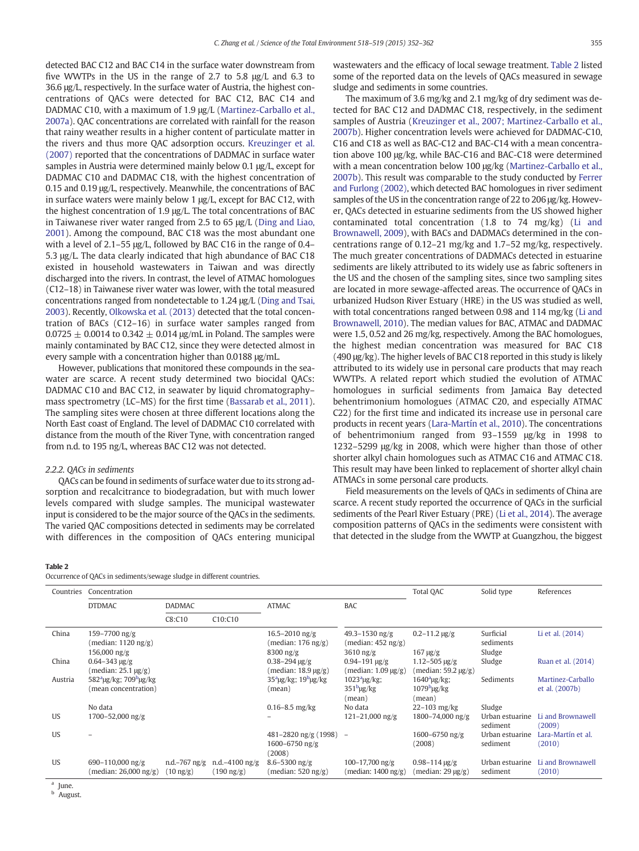detected BAC C12 and BAC C14 in the surface water downstream from five WWTPs in the US in the range of 2.7 to 5.8 μg/L and 6.3 to 36.6 μg/L, respectively. In the surface water of Austria, the highest concentrations of QACs were detected for BAC C12, BAC C14 and DADMAC C10, with a maximum of 1.9 μg/L ([Martinez-Carballo et al.,](#page-9-0) [2007a\)](#page-9-0). QAC concentrations are correlated with rainfall for the reason that rainy weather results in a higher content of particulate matter in the rivers and thus more QAC adsorption occurs. [Kreuzinger et al.](#page-9-0) [\(2007\)](#page-9-0) reported that the concentrations of DADMAC in surface water samples in Austria were determined mainly below 0.1 μg/L, except for DADMAC C10 and DADMAC C18, with the highest concentration of 0.15 and 0.19 μg/L, respectively. Meanwhile, the concentrations of BAC in surface waters were mainly below 1 μg/L, except for BAC C12, with the highest concentration of 1.9 μg/L. The total concentrations of BAC in Taiwanese river water ranged from 2.5 to 65 μg/L ([Ding and Liao,](#page-8-0) [2001\)](#page-8-0). Among the compound, BAC C18 was the most abundant one with a level of 2.1–55 μg/L, followed by BAC C16 in the range of 0.4– 5.3 μg/L. The data clearly indicated that high abundance of BAC C18 existed in household wastewaters in Taiwan and was directly discharged into the rivers. In contrast, the level of ATMAC homologues (C12–18) in Taiwanese river water was lower, with the total measured concentrations ranged from nondetectable to 1.24 μg/L [\(Ding and Tsai,](#page-8-0) [2003](#page-8-0)). Recently, [Olkowska et al. \(2013\)](#page-9-0) detected that the total concentration of BACs (C12–16) in surface water samples ranged from  $0.0725 \pm 0.0014$  to  $0.342 \pm 0.014$  μg/mL in Poland. The samples were mainly contaminated by BAC C12, since they were detected almost in every sample with a concentration higher than 0.0188 μg/mL.

However, publications that monitored these compounds in the seawater are scarce. A recent study determined two biocidal QACs: DADMAC C10 and BAC C12, in seawater by liquid chromatography– mass spectrometry (LC–MS) for the first time [\(Bassarab et al., 2011](#page-8-0)). The sampling sites were chosen at three different locations along the North East coast of England. The level of DADMAC C10 correlated with distance from the mouth of the River Tyne, with concentration ranged from n.d. to 195 ng/L, whereas BAC C12 was not detected.

#### 2.2.2. QACs in sediments

QACs can be found in sediments of surface water due to its strong adsorption and recalcitrance to biodegradation, but with much lower levels compared with sludge samples. The municipal wastewater input is considered to be the major source of the QACs in the sediments. The varied QAC compositions detected in sediments may be correlated with differences in the composition of QACs entering municipal

#### Table 2

Occurrence of QACs in sediments/sewage sludge in different countries.

wastewaters and the efficacy of local sewage treatment. Table 2 listed some of the reported data on the levels of QACs measured in sewage sludge and sediments in some countries.

The maximum of 3.6 mg/kg and 2.1 mg/kg of dry sediment was detected for BAC C12 and DADMAC C18, respectively, in the sediment samples of Austria [\(Kreuzinger et al., 2007; Martinez-Carballo et al.,](#page-9-0) [2007b](#page-9-0)). Higher concentration levels were achieved for DADMAC-C10, C16 and C18 as well as BAC-C12 and BAC-C14 with a mean concentration above 100 μg/kg, while BAC-C16 and BAC-C18 were determined with a mean concentration below 100 μg/kg [\(Martinez-Carballo et al.,](#page-9-0) [2007b](#page-9-0)). This result was comparable to the study conducted by [Ferrer](#page-8-0) [and Furlong \(2002\)](#page-8-0), which detected BAC homologues in river sediment samples of the US in the concentration range of 22 to 206 μg/kg. However, QACs detected in estuarine sediments from the US showed higher contaminated total concentration (1.8 to 74 mg/kg) [\(Li and](#page-9-0) [Brownawell, 2009](#page-9-0)), with BACs and DADMACs determined in the concentrations range of 0.12–21 mg/kg and 1.7–52 mg/kg, respectively. The much greater concentrations of DADMACs detected in estuarine sediments are likely attributed to its widely use as fabric softeners in the US and the chosen of the sampling sites, since two sampling sites are located in more sewage-affected areas. The occurrence of QACs in urbanized Hudson River Estuary (HRE) in the US was studied as well, with total concentrations ranged between 0.98 and 114 mg/kg ([Li and](#page-9-0) [Brownawell, 2010\)](#page-9-0). The median values for BAC, ATMAC and DADMAC were 1.5, 0.52 and 26 mg/kg, respectively. Among the BAC homologues, the highest median concentration was measured for BAC C18 (490 μg/kg). The higher levels of BAC C18 reported in this study is likely attributed to its widely use in personal care products that may reach WWTPs. A related report which studied the evolution of ATMAC homologues in surficial sediments from Jamaica Bay detected behentrimonium homologues (ATMAC C20, and especially ATMAC C22) for the first time and indicated its increase use in personal care products in recent years [\(Lara-Martín et al., 2010\)](#page-9-0). The concentrations of behentrimonium ranged from 93–1559 μg/kg in 1998 to 1232–5299 μg/kg in 2008, which were higher than those of other shorter alkyl chain homologues such as ATMAC C16 and ATMAC C18. This result may have been linked to replacement of shorter alkyl chain ATMACs in some personal care products.

Field measurements on the levels of QACs in sediments of China are scarce. A recent study reported the occurrence of QACs in the surficial sediments of the Pearl River Estuary (PRE) ([Li et al., 2014\)](#page-9-0). The average composition patterns of QACs in the sediments were consistent with that detected in the sludge from the WWTP at Guangzhou, the biggest

| Countries | Concentration                                             |                                        | Total OAC                                   | Solid type                                              | References                                                    |                                                           |                                  |                                     |  |
|-----------|-----------------------------------------------------------|----------------------------------------|---------------------------------------------|---------------------------------------------------------|---------------------------------------------------------------|-----------------------------------------------------------|----------------------------------|-------------------------------------|--|
|           | <b>DTDMAC</b>                                             | <b>DADMAC</b>                          |                                             | <b>BAC</b><br><b>ATMAC</b>                              |                                                               |                                                           |                                  |                                     |  |
|           |                                                           | C8: C10                                | C10: C10                                    |                                                         |                                                               |                                                           |                                  |                                     |  |
| China     | 159-7700 ng/g<br>(median: 1120 ng/g)<br>$156,000$ ng/g    |                                        |                                             | $16.5 - 2010$ ng/g<br>(median: 176 ng/g)<br>$8300$ ng/g | 49.3-1530 $\frac{ng}{g}$<br>(median: 452 ng/g)<br>$3610$ ng/g | $0.2 - 11.2 \text{ µg/g}$<br>$167 \mu g/g$                | Surficial<br>sediments<br>Sludge | Li et al. (2014)                    |  |
| China     | $0.64 - 343 \mu g/g$<br>$(median: 25.1 \mu g/g)$          |                                        |                                             | $0.38 - 294 \,\mathrm{\mu g/g}$<br>(median: 18.9 µg/g)  | $0.94 - 191 \text{ µg/g}$<br>$(median: 1.09 \mu g/g)$         | $1.12 - 505 \,\mathrm{\mu g/g}$<br>(median: 59.2 µg/g)    | Sludge                           | Ruan et al. (2014)                  |  |
| Austria   | $582a \mu g/kg$ ; $709b \mu g/kg$<br>(mean concentration) |                                        |                                             | $35a \mu g/kg$ ; $19b \mu g/kg$<br>(mean)               | $1023a$ µg/kg;<br>$351b \mu g/kg$<br>(mean)                   | $1640a$ µg/kg;<br>$1079b \mu g/kg$<br>(mean)              | Sediments                        | Martinez-Carballo<br>et al. (2007b) |  |
|           | No data                                                   |                                        |                                             | $0.16 - 8.5$ mg/kg                                      | No data                                                       | $22 - 103$ mg/kg                                          | Sludge                           |                                     |  |
| <b>US</b> | 1700-52,000 ng/g                                          |                                        |                                             |                                                         | $121 - 21,000$ ng/g                                           | 1800-74,000 ng/g                                          | Urban estuarine<br>sediment      | Li and Brownawell<br>(2009)         |  |
| <b>US</b> |                                                           |                                        |                                             | $481 - 2820$ ng/g (1998) –<br>1600-6750 ng/g<br>(2008)  |                                                               | 1600-6750 ng/g<br>(2008)                                  | Urban estuarine<br>sediment      | Lara-Martín et al.<br>(2010)        |  |
| <b>US</b> | $690 - 110,000$ ng/g<br>(median: 26,000 ng/g)             | $n.d.-767$ ng/g<br>$(10 \text{ ng/g})$ | $n.d. -4100$ $ng/g$<br>$(190 \text{ ng/g})$ | $8.6 - 5300$ ng/g<br>(median: 520 ng/g)                 | $100 - 17,700$ ng/g<br>(median: $1400 \text{ ng/g}$ )         | $0.98 - 114 \,\mathrm{\mu g/g}$<br>$(median: 29 \mu g/g)$ | Urban estuarine<br>sediment      | Li and Brownawell<br>(2010)         |  |

June.

August.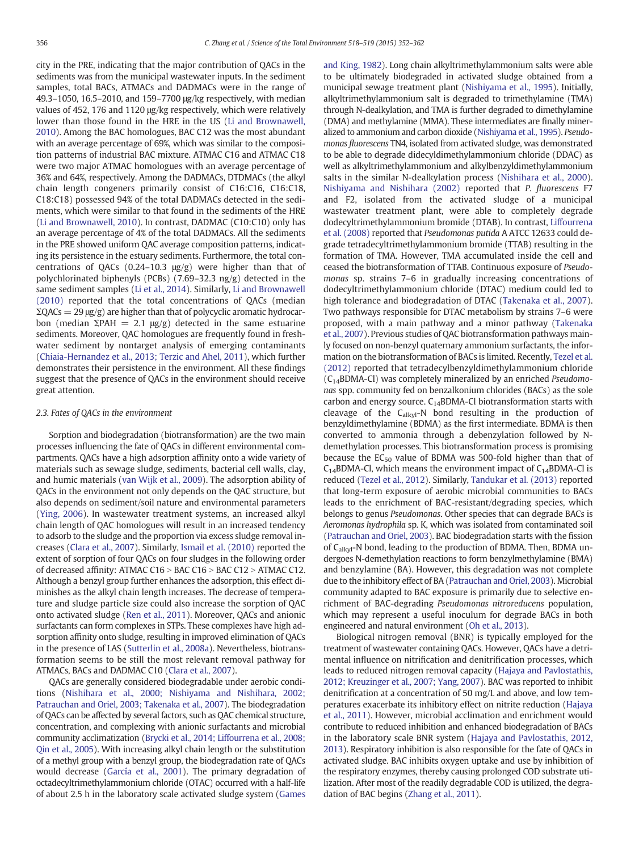city in the PRE, indicating that the major contribution of QACs in the sediments was from the municipal wastewater inputs. In the sediment samples, total BACs, ATMACs and DADMACs were in the range of 49.3–1050, 16.5–2010, and 159–7700 μg/kg respectively, with median values of 452, 176 and 1120 μg/kg respectively, which were relatively lower than those found in the HRE in the US [\(Li and Brownawell,](#page-9-0) [2010\)](#page-9-0). Among the BAC homologues, BAC C12 was the most abundant with an average percentage of 69%, which was similar to the composition patterns of industrial BAC mixture. ATMAC C16 and ATMAC C18 were two major ATMAC homologues with an average percentage of 36% and 64%, respectively. Among the DADMACs, DTDMACs (the alkyl chain length congeners primarily consist of C16:C16, C16:C18, C18:C18) possessed 94% of the total DADMACs detected in the sediments, which were similar to that found in the sediments of the HRE [\(Li and Brownawell, 2010\)](#page-9-0). In contrast, DADMAC (C10:C10) only has an average percentage of 4% of the total DADMACs. All the sediments in the PRE showed uniform QAC average composition patterns, indicating its persistence in the estuary sediments. Furthermore, the total concentrations of QACs  $(0.24-10.3 \text{ µg/g})$  were higher than that of polychlorinated biphenyls (PCBs) (7.69–32.3 ng/g) detected in the same sediment samples ([Li et al., 2014\)](#page-9-0). Similarly, [Li and Brownawell](#page-9-0) [\(2010\)](#page-9-0) reported that the total concentrations of QACs (median  $\Sigma$ OACs = 29 μg/g) are higher than that of polycyclic aromatic hydrocarbon (median ΣPAH = 2.1 μg/g) detected in the same estuarine sediments. Moreover, QAC homologues are frequently found in freshwater sediment by nontarget analysis of emerging contaminants [\(Chiaia-Hernandez et al., 2013; Terzic and Ahel, 2011](#page-8-0)), which further demonstrates their persistence in the environment. All these findings suggest that the presence of QACs in the environment should receive great attention.

#### 2.3. Fates of QACs in the environment

Sorption and biodegradation (biotransformation) are the two main processes influencing the fate of QACs in different environmental compartments. QACs have a high adsorption affinity onto a wide variety of materials such as sewage sludge, sediments, bacterial cell walls, clay, and humic materials ([van Wijk et al., 2009\)](#page-10-0). The adsorption ability of QACs in the environment not only depends on the QAC structure, but also depends on sediment/soil nature and environmental parameters [\(Ying, 2006](#page-10-0)). In wastewater treatment systems, an increased alkyl chain length of QAC homologues will result in an increased tendency to adsorb to the sludge and the proportion via excess sludge removal increases [\(Clara et al., 2007](#page-8-0)). Similarly, [Ismail et al. \(2010\)](#page-9-0) reported the extent of sorption of four QACs on four sludges in the following order of decreased affinity: ATMAC C16 > BAC C16 > BAC C12 > ATMAC C12. Although a benzyl group further enhances the adsorption, this effect diminishes as the alkyl chain length increases. The decrease of temperature and sludge particle size could also increase the sorption of QAC onto activated sludge ([Ren et al., 2011\)](#page-9-0). Moreover, QACs and anionic surfactants can form complexes in STPs. These complexes have high adsorption affinity onto sludge, resulting in improved elimination of QACs in the presence of LAS ([Sutterlin et al., 2008a\)](#page-9-0). Nevertheless, biotransformation seems to be still the most relevant removal pathway for ATMACs, BACs and DADMAC C10 [\(Clara et al., 2007\)](#page-8-0).

QACs are generally considered biodegradable under aerobic conditions [\(Nishihara et al., 2000; Nishiyama and Nishihara, 2002;](#page-9-0) [Patrauchan and Oriel, 2003; Takenaka et al., 2007\)](#page-9-0). The biodegradation of QACs can be affected by several factors, such as QAC chemical structure, concentration, and complexing with anionic surfactants and microbial community acclimatization [\(Brycki et al., 2014; Liffourrena et al., 2008;](#page-8-0) [Qin et al., 2005](#page-8-0)). With increasing alkyl chain length or the substitution of a methyl group with a benzyl group, the biodegradation rate of QACs would decrease ([García et al., 2001](#page-8-0)). The primary degradation of octadecyltrimethylammonium chloride (OTAC) occurred with a half-life of about 2.5 h in the laboratory scale activated sludge system [\(Games](#page-8-0) [and King, 1982\)](#page-8-0). Long chain alkyltrimethylammonium salts were able to be ultimately biodegraded in activated sludge obtained from a municipal sewage treatment plant ([Nishiyama et al., 1995](#page-9-0)). Initially, alkyltrimethylammonium salt is degraded to trimethylamine (TMA) through N-dealkylation, and TMA is further degraded to dimethylamine (DMA) and methylamine (MMA). These intermediates are finally mineralized to ammonium and carbon dioxide [\(Nishiyama et al., 1995\)](#page-9-0). Pseudomonas fluorescens TN4, isolated from activated sludge, was demonstrated to be able to degrade didecyldimethylammonium chloride (DDAC) as well as alkyltrimethylammonium and alkylbenzyldimethylammonium salts in the similar N-dealkylation process ([Nishihara et al., 2000](#page-9-0)). [Nishiyama and Nishihara \(2002\)](#page-9-0) reported that P. fluorescens F7 and F2, isolated from the activated sludge of a municipal wastewater treatment plant, were able to completely degrade dodecyltrimethylammonium bromide (DTAB). In contrast, [Liffourrena](#page-9-0) [et al. \(2008\)](#page-9-0) reported that Pseudomonas putida A ATCC 12633 could degrade tetradecyltrimethylammonium bromide (TTAB) resulting in the formation of TMA. However, TMA accumulated inside the cell and ceased the biotransformation of TTAB. Continuous exposure of Pseudomonas sp. strains 7–6 in gradually increasing concentrations of dodecyltrimethylammonium chloride (DTAC) medium could led to high tolerance and biodegradation of DTAC ([Takenaka et al., 2007](#page-10-0)). Two pathways responsible for DTAC metabolism by strains 7–6 were proposed, with a main pathway and a minor pathway ([Takenaka](#page-10-0) [et al., 2007](#page-10-0)). Previous studies of QAC biotransformation pathways mainly focused on non-benzyl quaternary ammonium surfactants, the information on the biotransformation of BACs is limited. Recently, [Tezel et al.](#page-10-0) [\(2012\)](#page-10-0) reported that tetradecylbenzyldimethylammonium chloride  $(C<sub>14</sub>BDMA-Cl)$  was completely mineralized by an enriched Pseudomonas spp. community fed on benzalkonium chlorides (BACs) as the sole carbon and energy source.  $C_{14}$ BDMA-Cl biotransformation starts with cleavage of the  $C_{\text{alkyl}}-N$  bond resulting in the production of benzyldimethylamine (BDMA) as the first intermediate. BDMA is then converted to ammonia through a debenzylation followed by Ndemethylation processes. This biotransformation process is promising because the  $EC_{50}$  value of BDMA was 500-fold higher than that of  $C_{14}$ BDMA-Cl, which means the environment impact of  $C_{14}$ BDMA-Cl is reduced [\(Tezel et al., 2012](#page-10-0)). Similarly, [Tandukar et al. \(2013\)](#page-10-0) reported that long-term exposure of aerobic microbial communities to BACs leads to the enrichment of BAC-resistant/degrading species, which belongs to genus Pseudomonas. Other species that can degrade BACs is Aeromonas hydrophila sp. K, which was isolated from contaminated soil [\(Patrauchan and Oriel, 2003\)](#page-9-0). BAC biodegradation starts with the fission of Calkyl-N bond, leading to the production of BDMA. Then, BDMA undergoes N-demethylation reactions to form benzylmethylamine (BMA) and benzylamine (BA). However, this degradation was not complete due to the inhibitory effect of BA ([Patrauchan and Oriel, 2003\)](#page-9-0). Microbial community adapted to BAC exposure is primarily due to selective enrichment of BAC-degrading Pseudomonas nitroreducens population, which may represent a useful inoculum for degrade BACs in both engineered and natural environment [\(Oh et al., 2013\)](#page-9-0).

Biological nitrogen removal (BNR) is typically employed for the treatment of wastewater containing QACs. However, QACs have a detrimental influence on nitrification and denitrification processes, which leads to reduced nitrogen removal capacity ([Hajaya and Pavlostathis,](#page-8-0) [2012; Kreuzinger et al., 2007; Yang, 2007\)](#page-8-0). BAC was reported to inhibit denitrification at a concentration of 50 mg/L and above, and low temperatures exacerbate its inhibitory effect on nitrite reduction [\(Hajaya](#page-8-0) [et al., 2011\)](#page-8-0). However, microbial acclimation and enrichment would contribute to reduced inhibition and enhanced biodegradation of BACs in the laboratory scale BNR system [\(Hajaya and Pavlostathis, 2012,](#page-8-0) [2013\)](#page-8-0). Respiratory inhibition is also responsible for the fate of QACs in activated sludge. BAC inhibits oxygen uptake and use by inhibition of the respiratory enzymes, thereby causing prolonged COD substrate utilization. After most of the readily degradable COD is utilized, the degradation of BAC begins ([Zhang et al., 2011](#page-10-0)).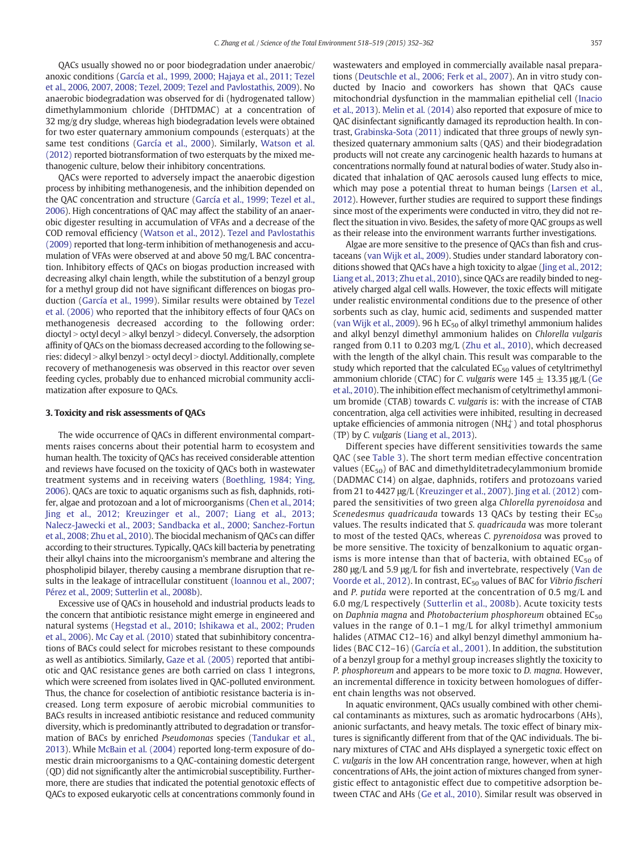QACs usually showed no or poor biodegradation under anaerobic/ anoxic conditions ([García et al., 1999, 2000; Hajaya et al., 2011; Tezel](#page-8-0) [et al., 2006, 2007, 2008; Tezel, 2009; Tezel and Pavlostathis, 2009](#page-8-0)). No anaerobic biodegradation was observed for di (hydrogenated tallow) dimethylammonium chloride (DHTDMAC) at a concentration of 32 mg/g dry sludge, whereas high biodegradation levels were obtained for two ester quaternary ammonium compounds (esterquats) at the same test conditions [\(García et al., 2000](#page-8-0)). Similarly, [Watson et al.](#page-10-0) [\(2012\)](#page-10-0) reported biotransformation of two esterquats by the mixed methanogenic culture, below their inhibitory concentrations.

QACs were reported to adversely impact the anaerobic digestion process by inhibiting methanogenesis, and the inhibition depended on the QAC concentration and structure [\(García et al., 1999; Tezel et al.,](#page-8-0) [2006](#page-8-0)). High concentrations of QAC may affect the stability of an anaerobic digester resulting in accumulation of VFAs and a decrease of the COD removal efficiency [\(Watson et al., 2012\)](#page-10-0). [Tezel and Pavlostathis](#page-10-0) [\(2009\)](#page-10-0) reported that long-term inhibition of methanogenesis and accumulation of VFAs were observed at and above 50 mg/L BAC concentration. Inhibitory effects of QACs on biogas production increased with decreasing alkyl chain length, while the substitution of a benzyl group for a methyl group did not have significant differences on biogas production ([García et al., 1999](#page-8-0)). Similar results were obtained by [Tezel](#page-10-0) [et al. \(2006\)](#page-10-0) who reported that the inhibitory effects of four QACs on methanogenesis decreased according to the following order:  $dioctyl > octyl$  decyl  $>$  alkyl benzyl  $>$  didecyl. Conversely, the adsorption affinity of QACs on the biomass decreased according to the following series: didecyl > alkyl benzyl > octyl decyl > dioctyl. Additionally, complete recovery of methanogenesis was observed in this reactor over seven feeding cycles, probably due to enhanced microbial community acclimatization after exposure to QACs.

#### 3. Toxicity and risk assessments of QACs

The wide occurrence of QACs in different environmental compartments raises concerns about their potential harm to ecosystem and human health. The toxicity of QACs has received considerable attention and reviews have focused on the toxicity of QACs both in wastewater treatment systems and in receiving waters ([Boethling, 1984; Ying,](#page-8-0) [2006](#page-8-0)). QACs are toxic to aquatic organisms such as fish, daphnids, rotifer, algae and protozoan and a lot of microorganisms ([Chen et al., 2014;](#page-8-0) [Jing et al., 2012; Kreuzinger et al., 2007; Liang et al., 2013;](#page-8-0) [Nalecz-Jawecki et al., 2003; Sandbacka et al., 2000; Sanchez-Fortun](#page-8-0) [et al., 2008; Zhu et al., 2010\)](#page-8-0). The biocidal mechanism of QACs can differ according to their structures. Typically, QACs kill bacteria by penetrating their alkyl chains into the microorganism's membrane and altering the phospholipid bilayer, thereby causing a membrane disruption that results in the leakage of intracellular constituent ([Ioannou et al., 2007;](#page-9-0) [Pérez et al., 2009; Sutterlin et al., 2008b](#page-9-0)).

Excessive use of QACs in household and industrial products leads to the concern that antibiotic resistance might emerge in engineered and natural systems [\(Hegstad et al., 2010; Ishikawa et al., 2002; Pruden](#page-8-0) [et al., 2006\)](#page-8-0). [Mc Cay et al. \(2010\)](#page-9-0) stated that subinhibitory concentrations of BACs could select for microbes resistant to these compounds as well as antibiotics. Similarly, [Gaze et al. \(2005\)](#page-8-0) reported that antibiotic and QAC resistance genes are both carried on class 1 integrons, which were screened from isolates lived in QAC-polluted environment. Thus, the chance for coselection of antibiotic resistance bacteria is increased. Long term exposure of aerobic microbial communities to BACs results in increased antibiotic resistance and reduced community diversity, which is predominantly attributed to degradation or transformation of BACs by enriched Pseudomonas species [\(Tandukar et al.,](#page-10-0) [2013](#page-10-0)). While [McBain et al. \(2004\)](#page-9-0) reported long-term exposure of domestic drain microorganisms to a QAC-containing domestic detergent (QD) did not significantly alter the antimicrobial susceptibility. Furthermore, there are studies that indicated the potential genotoxic effects of QACs to exposed eukaryotic cells at concentrations commonly found in wastewaters and employed in commercially available nasal preparations [\(Deutschle et al., 2006; Ferk et al., 2007](#page-8-0)). An in vitro study conducted by Inacio and coworkers has shown that QACs cause mitochondrial dysfunction in the mammalian epithelial cell [\(Inacio](#page-9-0) [et al., 2013](#page-9-0)). [Melin et al. \(2014\)](#page-9-0) also reported that exposure of mice to QAC disinfectant significantly damaged its reproduction health. In contrast, [Grabinska-Sota \(2011\)](#page-8-0) indicated that three groups of newly synthesized quaternary ammonium salts (QAS) and their biodegradation products will not create any carcinogenic health hazards to humans at concentrations normally found at natural bodies of water. Study also indicated that inhalation of QAC aerosols caused lung effects to mice, which may pose a potential threat to human beings [\(Larsen et al.,](#page-9-0) [2012](#page-9-0)). However, further studies are required to support these findings since most of the experiments were conducted in vitro, they did not reflect the situation in vivo. Besides, the safety of more QAC groups as well as their release into the environment warrants further investigations.

Algae are more sensitive to the presence of QACs than fish and crustaceans ([van Wijk et al., 2009](#page-10-0)). Studies under standard laboratory conditions showed that QACs have a high toxicity to algae ([Jing et al., 2012;](#page-9-0) [Liang et al., 2013; Zhu et al., 2010](#page-9-0)), since QACs are readily binded to negatively charged algal cell walls. However, the toxic effects will mitigate under realistic environmental conditions due to the presence of other sorbents such as clay, humic acid, sediments and suspended matter [\(van Wijk et al., 2009\)](#page-10-0). 96 h  $EC_{50}$  of alkyl trimethyl ammonium halides and alkyl benzyl dimethyl ammonium halides on Chlorella vulgaris ranged from 0.11 to 0.203 mg/L [\(Zhu et al., 2010\)](#page-10-0), which decreased with the length of the alkyl chain. This result was comparable to the study which reported that the calculated  $EC_{50}$  values of cetyltrimethyl ammonium chloride (CTAC) for *C. vulgaris* were  $145 \pm 13.35$  μg/L ([Ge](#page-8-0) [et al., 2010\)](#page-8-0). The inhibition effect mechanism of cetyltrimethyl ammonium bromide (CTAB) towards C. vulgaris is: with the increase of CTAB concentration, alga cell activities were inhibited, resulting in decreased uptake efficiencies of ammonia nitrogen (NH $_4^+$ ) and total phosphorus (TP) by C. vulgaris ([Liang et al., 2013](#page-9-0)).

Different species have different sensitivities towards the same QAC (see [Table 3](#page-6-0)). The short term median effective concentration values ( $EC_{50}$ ) of BAC and dimethylditetradecylammonium bromide (DADMAC C14) on algae, daphnids, rotifers and protozoans varied from 21 to 4427 μg/L [\(Kreuzinger et al., 2007](#page-9-0)). [Jing et al. \(2012\)](#page-9-0) compared the sensitivities of two green alga Chlorella pyrenoidosa and Scenedesmus quadricauda towards 13 OACs by testing their  $EC_{50}$ values. The results indicated that S. quadricauda was more tolerant to most of the tested QACs, whereas C. pyrenoidosa was proved to be more sensitive. The toxicity of benzalkonium to aquatic organisms is more intense than that of bacteria, with obtained  $EC_{50}$  of 280 μg/L and 5.9 μg/L for fish and invertebrate, respectively ([Van de](#page-10-0) [Voorde et al., 2012](#page-10-0)). In contrast,  $EC_{50}$  values of BAC for Vibrio fischeri and P. putida were reported at the concentration of 0.5 mg/L and 6.0 mg/L respectively ([Sutterlin et al., 2008b](#page-9-0)). Acute toxicity tests on Daphnia magna and Photobacterium phosphoreum obtained  $EC_{50}$ values in the range of 0.1–1 mg/L for alkyl trimethyl ammonium halides (ATMAC C12-16) and alkyl benzyl dimethyl ammonium halides (BAC C12–16) ([García et al., 2001](#page-8-0)). In addition, the substitution of a benzyl group for a methyl group increases slightly the toxicity to P. phosphoreum and appears to be more toxic to D. magna. However, an incremental difference in toxicity between homologues of different chain lengths was not observed.

In aquatic environment, QACs usually combined with other chemical contaminants as mixtures, such as aromatic hydrocarbons (AHs), anionic surfactants, and heavy metals. The toxic effect of binary mixtures is significantly different from that of the QAC individuals. The binary mixtures of CTAC and AHs displayed a synergetic toxic effect on C. vulgaris in the low AH concentration range, however, when at high concentrations of AHs, the joint action of mixtures changed from synergistic effect to antagonistic effect due to competitive adsorption between CTAC and AHs ([Ge et al., 2010](#page-8-0)). Similar result was observed in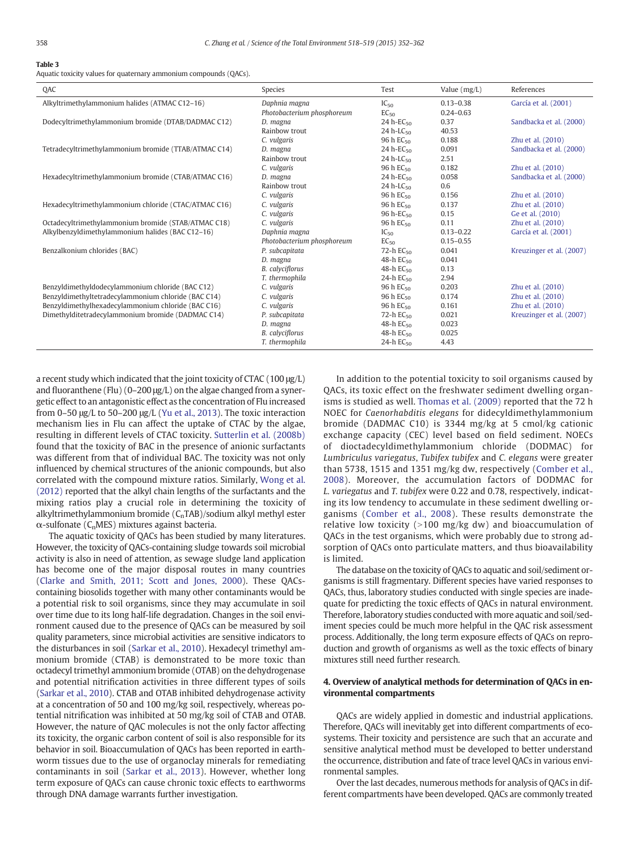#### <span id="page-6-0"></span>Table 3

Aquatic toxicity values for quaternary ammonium compounds (QACs).

| QAC                                                  | Species                    | Test                     | Value $(mg/L)$ | References               |
|------------------------------------------------------|----------------------------|--------------------------|----------------|--------------------------|
| Alkyltrimethylammonium halides (ATMAC C12-16)        | Daphnia magna              | $IC_{50}$                | $0.13 - 0.38$  | García et al. (2001)     |
|                                                      | Photobacterium phosphoreum | $EC_{50}$                | $0.24 - 0.63$  |                          |
| Dodecyltrimethylammonium bromide (DTAB/DADMAC C12)   | D. magna                   | $24h$ -EC <sub>50</sub>  | 0.37           | Sandbacka et al. (2000)  |
|                                                      | Rainbow trout              | 24 $h$ -LC <sub>50</sub> | 40.53          |                          |
|                                                      | C. vulgaris                | 96 h $EC_{50}$           | 0.188          | Zhu et al. (2010)        |
| Tetradecyltrimethylammonium bromide (TTAB/ATMAC C14) | D. magna                   | 24 h-EC $50$             | 0.091          | Sandbacka et al. (2000)  |
|                                                      | Rainbow trout              | 24 $h$ -LC <sub>50</sub> | 2.51           |                          |
|                                                      | C. vulgaris                | 96 h $EC_{50}$           | 0.182          | Zhu et al. (2010)        |
| Hexadecyltrimethylammonium bromide (CTAB/ATMAC C16)  | D. magna                   | 24 $h$ -EC <sub>50</sub> | 0.058          | Sandbacka et al. (2000)  |
|                                                      | Rainbow trout              | $24 h$ -LC <sub>50</sub> | 0.6            |                          |
|                                                      | C. vulgaris                | 96 h $EC_{50}$           | 0.156          | Zhu et al. (2010)        |
| Hexadecyltrimethylammonium chloride (CTAC/ATMAC C16) | C. vulgaris                | 96 h $EC_{50}$           | 0.137          | Zhu et al. (2010)        |
|                                                      | C. vulgaris                | 96 h- $EC_{50}$          | 0.15           | Ge et al. (2010)         |
| Octadecyltrimethylammonium bromide (STAB/ATMAC C18)  | C. vulgaris                | 96 h $EC_{50}$           | 0.11           | Zhu et al. (2010)        |
| Alkylbenzyldimethylammonium halides (BAC C12-16)     | Daphnia magna              | $IC_{50}$                | $0.13 - 0.22$  | García et al. (2001)     |
|                                                      | Photobacterium phosphoreum | $EC_{50}$                | $0.15 - 0.55$  |                          |
| Benzalkonium chlorides (BAC)                         | P. subcapitata             | $72-h$ EC <sub>50</sub>  | 0.041          | Kreuzinger et al. (2007) |
|                                                      | D. magna                   | 48-h $EC_{50}$           | 0.041          |                          |
|                                                      | B. calyciflorus            | 48-h $EC_{50}$           | 0.13           |                          |
|                                                      | T. thermophila             | 24-h $EC_{50}$           | 2.94           |                          |
| Benzyldimethyldodecylammonium chloride (BAC C12)     | C. vulgaris                | 96 h $EC_{50}$           | 0.203          | Zhu et al. (2010)        |
| Benzyldimethyltetradecylammonium chloride (BAC C14)  | C. vulgaris                | 96 h EC <sub>50</sub>    | 0.174          | Zhu et al. (2010)        |
| Benzyldimethylhexadecylammonium chloride (BAC C16)   | C. vulgaris                | 96 h $EC_{50}$           | 0.161          | Zhu et al. (2010)        |
| Dimethylditetradecylammonium bromide (DADMAC C14)    | P. subcapitata             | 72-h $EC_{50}$           | 0.021          | Kreuzinger et al. (2007) |
|                                                      | D. magna                   | 48-h $EC_{50}$           | 0.023          |                          |
|                                                      | <b>B.</b> calvciflorus     | 48-h $EC_{50}$           | 0.025          |                          |
|                                                      | T. thermophila             | 24-h $EC_{50}$           | 4.43           |                          |

a recent study which indicated that the joint toxicity of CTAC (100 μg/L) and fluoranthene (Flu) (0–200 μg/L) on the algae changed from a synergetic effect to an antagonistic effect as the concentration of Flu increased from 0–50 μg/L to 50–200 μg/L ([Yu et al., 2013](#page-10-0)). The toxic interaction mechanism lies in Flu can affect the uptake of CTAC by the algae, resulting in different levels of CTAC toxicity. [Sutterlin et al. \(2008b\)](#page-9-0) found that the toxicity of BAC in the presence of anionic surfactants was different from that of individual BAC. The toxicity was not only influenced by chemical structures of the anionic compounds, but also correlated with the compound mixture ratios. Similarly, [Wong et al.](#page-10-0) [\(2012\)](#page-10-0) reported that the alkyl chain lengths of the surfactants and the mixing ratios play a crucial role in determining the toxicity of alkyltrimethylammonium bromide  $(C_nTAB)/$ sodium alkyl methyl ester  $\alpha$ -sulfonate (C<sub>n</sub>MES) mixtures against bacteria.

The aquatic toxicity of QACs has been studied by many literatures. However, the toxicity of QACs-containing sludge towards soil microbial activity is also in need of attention, as sewage sludge land application has become one of the major disposal routes in many countries [\(Clarke and Smith, 2011; Scott and Jones, 2000\)](#page-8-0). These QACscontaining biosolids together with many other contaminants would be a potential risk to soil organisms, since they may accumulate in soil over time due to its long half-life degradation. Changes in the soil environment caused due to the presence of QACs can be measured by soil quality parameters, since microbial activities are sensitive indicators to the disturbances in soil ([Sarkar et al., 2010](#page-9-0)). Hexadecyl trimethyl ammonium bromide (CTAB) is demonstrated to be more toxic than octadecyl trimethyl ammonium bromide (OTAB) on the dehydrogenase and potential nitrification activities in three different types of soils [\(Sarkar et al., 2010](#page-9-0)). CTAB and OTAB inhibited dehydrogenase activity at a concentration of 50 and 100 mg/kg soil, respectively, whereas potential nitrification was inhibited at 50 mg/kg soil of CTAB and OTAB. However, the nature of QAC molecules is not the only factor affecting its toxicity, the organic carbon content of soil is also responsible for its behavior in soil. Bioaccumulation of QACs has been reported in earthworm tissues due to the use of organoclay minerals for remediating contaminants in soil ([Sarkar et al., 2013\)](#page-9-0). However, whether long term exposure of QACs can cause chronic toxic effects to earthworms through DNA damage warrants further investigation.

In addition to the potential toxicity to soil organisms caused by QACs, its toxic effect on the freshwater sediment dwelling organisms is studied as well. [Thomas et al. \(2009\)](#page-10-0) reported that the 72 h NOEC for Caenorhabditis elegans for didecyldimethylammonium bromide (DADMAC C10) is 3344 mg/kg at 5 cmol/kg cationic exchange capacity (CEC) level based on field sediment. NOECs of dioctadecyldimethylammonium chloride (DODMAC) for Lumbriculus variegatus, Tubifex tubifex and C. elegans were greater than 5738, 1515 and 1351 mg/kg dw, respectively ([Comber et al.,](#page-8-0) [2008](#page-8-0)). Moreover, the accumulation factors of DODMAC for L. variegatus and T. tubifex were 0.22 and 0.78, respectively, indicating its low tendency to accumulate in these sediment dwelling organisms ([Comber et al., 2008](#page-8-0)). These results demonstrate the relative low toxicity ( $>100$  mg/kg dw) and bioaccumulation of QACs in the test organisms, which were probably due to strong adsorption of QACs onto particulate matters, and thus bioavailability is limited.

The database on the toxicity of QACs to aquatic and soil/sediment organisms is still fragmentary. Different species have varied responses to QACs, thus, laboratory studies conducted with single species are inadequate for predicting the toxic effects of QACs in natural environment. Therefore, laboratory studies conducted with more aquatic and soil/sediment species could be much more helpful in the QAC risk assessment process. Additionally, the long term exposure effects of QACs on reproduction and growth of organisms as well as the toxic effects of binary mixtures still need further research.

#### 4. Overview of analytical methods for determination of QACs in environmental compartments

QACs are widely applied in domestic and industrial applications. Therefore, QACs will inevitably get into different compartments of ecosystems. Their toxicity and persistence are such that an accurate and sensitive analytical method must be developed to better understand the occurrence, distribution and fate of trace level QACs in various environmental samples.

Over the last decades, numerous methods for analysis of QACs in different compartments have been developed. QACs are commonly treated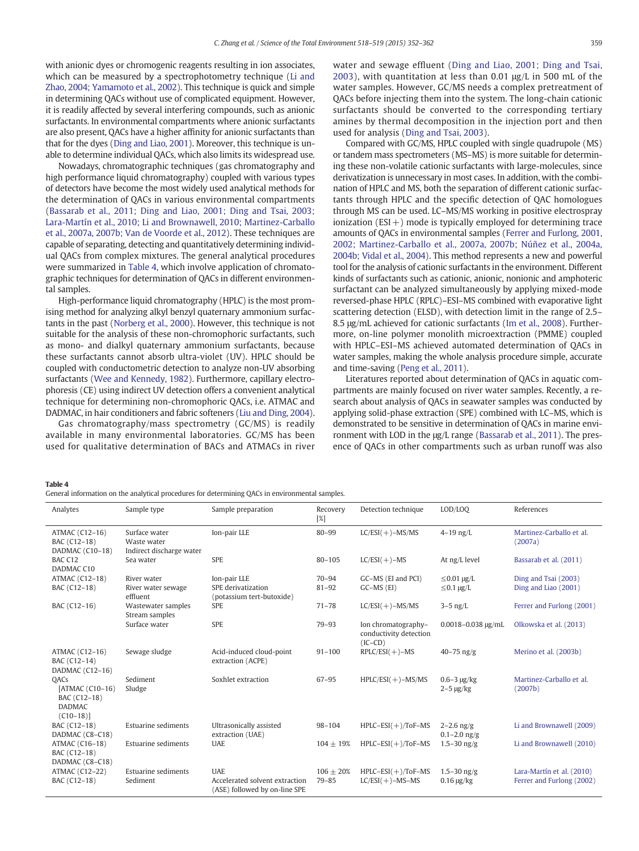with anionic dyes or chromogenic reagents resulting in ion associates, which can be measured by a spectrophotometry technique ([Li and](#page-9-0) [Zhao, 2004; Yamamoto et al., 2002\)](#page-9-0). This technique is quick and simple in determining QACs without use of complicated equipment. However, it is readily affected by several interfering compounds, such as anionic surfactants. In environmental compartments where anionic surfactants are also present, QACs have a higher affinity for anionic surfactants than that for the dyes [\(Ding and Liao, 2001\)](#page-8-0). Moreover, this technique is unable to determine individual QACs, which also limits its widespread use.

Nowadays, chromatographic techniques (gas chromatography and high performance liquid chromatography) coupled with various types of detectors have become the most widely used analytical methods for the determination of QACs in various environmental compartments [\(Bassarab et al., 2011; Ding and Liao, 2001; Ding and Tsai, 2003;](#page-8-0) [Lara-Martín et al., 2010; Li and Brownawell, 2010; Martinez-Carballo](#page-8-0) [et al., 2007a, 2007b; Van de Voorde et al., 2012\)](#page-8-0). These techniques are capable of separating, detecting and quantitatively determining individual QACs from complex mixtures. The general analytical procedures were summarized in Table 4, which involve application of chromatographic techniques for determination of QACs in different environmental samples.

High-performance liquid chromatography (HPLC) is the most promising method for analyzing alkyl benzyl quaternary ammonium surfactants in the past [\(Norberg et al., 2000\)](#page-9-0). However, this technique is not suitable for the analysis of these non-chromophoric surfactants, such as mono- and dialkyl quaternary ammonium surfactants, because these surfactants cannot absorb ultra-violet (UV). HPLC should be coupled with conductometric detection to analyze non-UV absorbing surfactants ([Wee and Kennedy, 1982\)](#page-10-0). Furthermore, capillary electrophoresis (CE) using indirect UV detection offers a convenient analytical technique for determining non-chromophoric QACs, i.e. ATMAC and DADMAC, in hair conditioners and fabric softeners [\(Liu and Ding, 2004](#page-9-0)).

Gas chromatography/mass spectrometry (GC/MS) is readily available in many environmental laboratories. GC/MS has been used for qualitative determination of BACs and ATMACs in river water and sewage effluent [\(Ding and Liao, 2001; Ding and Tsai,](#page-8-0) [2003\)](#page-8-0), with quantitation at less than 0.01 μg/L in 500 mL of the water samples. However, GC/MS needs a complex pretreatment of QACs before injecting them into the system. The long-chain cationic surfactants should be converted to the corresponding tertiary amines by thermal decomposition in the injection port and then used for analysis ([Ding and Tsai, 2003\)](#page-8-0).

Compared with GC/MS, HPLC coupled with single quadrupole (MS) or tandem mass spectrometers (MS–MS) is more suitable for determining these non-volatile cationic surfactants with large-molecules, since derivatization is unnecessary in most cases. In addition, with the combination of HPLC and MS, both the separation of different cationic surfactants through HPLC and the specific detection of QAC homologues through MS can be used. LC–MS/MS working in positive electrospray ionization  $(ESI+)$  mode is typically employed for determining trace amounts of QACs in environmental samples ([Ferrer and Furlong, 2001,](#page-8-0) [2002; Martinez-Carballo et al., 2007a, 2007b; Núñez et al., 2004a,](#page-8-0) [2004b; Vidal et al., 2004\)](#page-8-0). This method represents a new and powerful tool for the analysis of cationic surfactants in the environment. Different kinds of surfactants such as cationic, anionic, nonionic and amphoteric surfactant can be analyzed simultaneously by applying mixed-mode reversed-phase HPLC (RPLC)–ESI–MS combined with evaporative light scattering detection (ELSD), with detection limit in the range of 2.5– 8.5 μg/mL achieved for cationic surfactants ([Im et al., 2008\)](#page-9-0). Furthermore, on-line polymer monolith microextraction (PMME) coupled with HPLC–ESI–MS achieved automated determination of QACs in water samples, making the whole analysis procedure simple, accurate and time-saving ([Peng et al., 2011\)](#page-9-0).

Literatures reported about determination of QACs in aquatic compartments are mainly focused on river water samples. Recently, a research about analysis of QACs in seawater samples was conducted by applying solid-phase extraction (SPE) combined with LC–MS, which is demonstrated to be sensitive in determination of QACs in marine environment with LOD in the μg/L range ([Bassarab et al., 2011\)](#page-8-0). The presence of QACs in other compartments such as urban runoff was also

Table 4

General information on the analytical procedures for determining QACs in environmental samples.

| Analytes                                                                      | Sample type                                              | Sample preparation                                                            | Recovery<br>$[\%]$         | Detection technique                                        | LOD/LOO                                       | References                                             |
|-------------------------------------------------------------------------------|----------------------------------------------------------|-------------------------------------------------------------------------------|----------------------------|------------------------------------------------------------|-----------------------------------------------|--------------------------------------------------------|
| ATMAC (C12-16)<br>BAC (C12-18)<br>DADMAC (C10-18)                             | Surface water<br>Waste water<br>Indirect discharge water | Ion-pair LLE                                                                  | $80 - 99$                  | $LC/ESI(+) - MS/MS$                                        | $4-19$ ng/L                                   | Martinez-Carballo et al.<br>(2007a)                    |
| BAC C12<br>DADMAC C10                                                         | Sea water                                                | <b>SPE</b>                                                                    | $80 - 105$                 | $LC/ESI(+) - MS$                                           | At ng/L level                                 | Bassarab et al. (2011)                                 |
| ATMAC (C12-18)<br>BAC (C12-18)                                                | River water<br>River water sewage                        | Ion-pair LLE<br>SPE derivatization                                            | $70 - 94$<br>$81 - 92$     | GC-MS (EI and PCI)<br>GC-MS (EI)                           | $\leq$ 0.01 µg/L<br>$\leq$ 0.1 µg/L           | Ding and Tsai (2003)<br>Ding and Liao (2001)           |
|                                                                               | effluent                                                 | (potassium tert-butoxide)                                                     |                            |                                                            |                                               |                                                        |
| BAC (C12-16)                                                                  | Wastewater samples<br>Stream samples                     | <b>SPE</b>                                                                    | $71 - 78$                  | $LC/ESI(+) - MS/MS$                                        | $3-5$ ng/L                                    | Ferrer and Furlong (2001)                              |
|                                                                               | Surface water                                            | <b>SPE</b>                                                                    | $79 - 93$                  | Ion chromatography-<br>conductivity detection<br>$(IC-CD)$ | $0.0018 - 0.038$ µg/mL                        | Olkowska et al. (2013)                                 |
| ATMAC (C12-16)<br>BAC (C12-14)<br>DADMAC (C12-16)                             | Sewage sludge                                            | Acid-induced cloud-point<br>extraction (ACPE)                                 | $91 - 100$                 | $RPLC/ESI(+) - MS$                                         | 40 $-75$ ng/g                                 | Merino et al. (2003b)                                  |
| <b>OACs</b><br>[ATMAC (C10-16)<br>BAC (C12-18)<br><b>DADMAC</b><br>$(C10-18)$ | Sediment<br>Sludge                                       | Soxhlet extraction                                                            | $67 - 95$                  | $HPLC/ESI(+) - MS/MS$                                      | $0.6 - 3 \mu g/kg$<br>$2-5 \mu g/kg$          | Martinez-Carballo et al.<br>(2007b)                    |
| BAC (C12-18)<br>DADMAC (C8-C18)                                               | Estuarine sediments                                      | Ultrasonically assisted<br>extraction (UAE)                                   | 98-104                     | $HPLC-ESI(+) / ToF-MS$                                     | $2 - 2.6$ ng/g<br>$0.1 - 2.0$ ng/g            | Li and Brownawell (2009)                               |
| ATMAC (C16-18)<br>BAC (C12-18)<br>DADMAC (C8-C18)                             | Estuarine sediments                                      | <b>UAE</b>                                                                    | $104 \pm 19%$              | $HPLC-ESI(+) / ToF-MS$                                     | $1.5 - 30$ ng/g                               | Li and Brownawell (2010)                               |
| ATMAC (C12-22)<br>BAC (C12-18)                                                | <b>Estuarine sediments</b><br>Sediment                   | <b>UAE</b><br>Accelerated solvent extraction<br>(ASE) followed by on-line SPE | $106 \pm 20%$<br>$79 - 85$ | $HPLC-ESI(+) / ToF-MS$<br>$LC/ESI(+) - MS - MS$            | $1.5 - 30$ ng/g<br>$0.16 \,\mathrm{\mu g/kg}$ | Lara-Martín et al. (2010)<br>Ferrer and Furlong (2002) |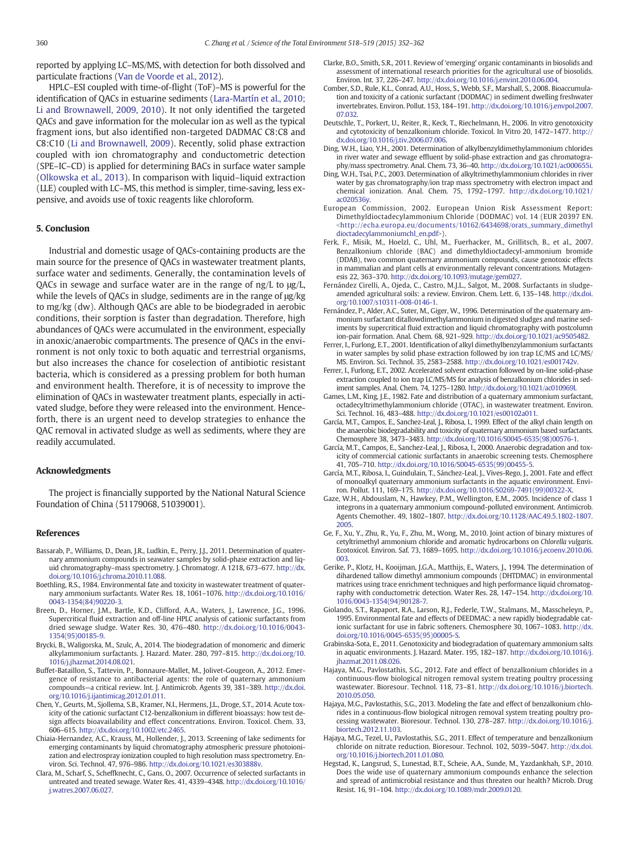<span id="page-8-0"></span>reported by applying LC–MS/MS, with detection for both dissolved and particulate fractions [\(Van de Voorde et al., 2012](#page-10-0)).

HPLC–ESI coupled with time-of-flight (ToF)–MS is powerful for the identification of QACs in estuarine sediments [\(Lara-Martín et al., 2010;](#page-9-0) [Li and Brownawell, 2009, 2010](#page-9-0)). It not only identified the targeted QACs and gave information for the molecular ion as well as the typical fragment ions, but also identified non-targeted DADMAC C8:C8 and C8:C10 [\(Li and Brownawell, 2009\)](#page-9-0). Recently, solid phase extraction coupled with ion chromatography and conductometric detection (SPE–IC–CD) is applied for determining BACs in surface water sample [\(Olkowska et al., 2013\)](#page-9-0). In comparison with liquid–liquid extraction (LLE) coupled with LC–MS, this method is simpler, time-saving, less expensive, and avoids use of toxic reagents like chloroform.

#### 5. Conclusion

Industrial and domestic usage of QACs-containing products are the main source for the presence of QACs in wastewater treatment plants, surface water and sediments. Generally, the contamination levels of QACs in sewage and surface water are in the range of ng/L to μg/L, while the levels of QACs in sludge, sediments are in the range of μg/kg to mg/kg (dw). Although QACs are able to be biodegraded in aerobic conditions, their sorption is faster than degradation. Therefore, high abundances of QACs were accumulated in the environment, especially in anoxic/anaerobic compartments. The presence of QACs in the environment is not only toxic to both aquatic and terrestrial organisms, but also increases the chance for coselection of antibiotic resistant bacteria, which is considered as a pressing problem for both human and environment health. Therefore, it is of necessity to improve the elimination of QACs in wastewater treatment plants, especially in activated sludge, before they were released into the environment. Henceforth, there is an urgent need to develop strategies to enhance the QAC removal in activated sludge as well as sediments, where they are readily accumulated.

#### Acknowledgments

The project is financially supported by the National Natural Science Foundation of China (51179068, 51039001).

#### References

- Bassarab, P., Williams, D., Dean, J.R., Ludkin, E., Perry, J.J., 2011. Determination of quaternary ammonium compounds in seawater samples by solid-phase extraction and liquid chromatography–mass spectrometry. J. Chromatogr. A 1218, 673–677. http://dx. doi.org/[10.1016/j.chroma.2010.11.088](http://dx.doi.org/10.1016/j.chroma.2010.11.088).
- Boethling, R.S., 1984. Environmental fate and toxicity in wastewater treatment of quaternary ammonium surfactants. Water Res. 18, 1061–1076. http://dx.doi.org[/10.1016/](http://dx.doi.org/10.1016/0043-1354(84)90220-3) [0043-1354\(84\)90220-3.](http://dx.doi.org/10.1016/0043-1354(84)90220-3)
- Breen, D., Horner, J.M., Bartle, K.D., Clifford, A.A., Waters, J., Lawrence, J.G., 1996. Supercritical fluid extraction and off-line HPLC analysis of cationic surfactants from dried sewage sludge. Water Res. 30, 476–480. http://dx.doi.org[/10.1016/0043-](http://dx.doi.org/10.1016/0043-1354(95)00185-9) [1354\(95\)00185-9](http://dx.doi.org/10.1016/0043-1354(95)00185-9).
- Brycki, B., Waligorska, M., Szulc, A., 2014. The biodegradation of monomeric and dimeric alkylammonium surfactants. J. Hazard. Mater. 280, 797–815. http://dx.doi.org/[10.](http://dx.doi.org/10.1016/j.jhazmat.2014.08.021) [1016/j.jhazmat.2014.08.021](http://dx.doi.org/10.1016/j.jhazmat.2014.08.021).
- Buffet-Bataillon, S., Tattevin, P., Bonnaure-Mallet, M., Jolivet-Gougeon, A., 2012. Emergence of resistance to antibacterial agents: the role of quaternary ammonium compounds—a critical review. Int. J. Antimicrob. Agents 39, 381–389. http://dx.doi. org[/10.1016/j.ijantimicag.2012.01.011.](http://dx.doi.org/10.1016/j.ijantimicag.2012.01.011)
- Chen, Y., Geurts, M., Sjollema, S.B., Kramer, N.I., Hermens, J.L., Droge, S.T., 2014. Acute toxicity of the cationic surfactant C12-benzalkonium in different bioassays: how test design affects bioavailability and effect concentrations. Environ. Toxicol. Chem. 33, 606–615. http://dx.doi.org/[10.1002/etc.2465](http://dx.doi.org/10.1002/etc.2465).
- Chiaia-Hernandez, A.C., Krauss, M., Hollender, J., 2013. Screening of lake sediments for emerging contaminants by liquid chromatography atmospheric pressure photoionization and electrospray ionization coupled to high resolution mass spectrometry. Environ. Sci. Technol. 47, 976–986. http://dx.doi.org/[10.1021/es303888v](http://dx.doi.org/10.1021/es303888v).
- Clara, M., Scharf, S., Scheffknecht, C., Gans, O., 2007. Occurrence of selected surfactants in untreated and treated sewage. Water Res. 41, 4339–4348. http://dx.doi.org/[10.1016/](http://dx.doi.org/10.1016/j.watres.2007.06.027) [j.watres.2007.06.027](http://dx.doi.org/10.1016/j.watres.2007.06.027).
- Clarke, B.O., Smith, S.R., 2011. Review of 'emerging' organic contaminants in biosolids and assessment of international research priorities for the agricultural use of biosolids. Environ. Int. 37, 226–247. http://dx.doi.org[/10.1016/j.envint.2010.06.004.](http://dx.doi.org/10.1016/j.envint.2010.06.004)
- Comber, S.D., Rule, K.L., Conrad, A.U., Hoss, S., Webb, S.F., Marshall, S., 2008. Bioaccumulation and toxicity of a cationic surfactant (DODMAC) in sediment dwelling freshwater invertebrates. Environ. Pollut. 153, 184–191. http://dx.doi.org[/10.1016/j.envpol.2007.](http://dx.doi.org/10.1016/j.envpol.2007.07.032) [07.032.](http://dx.doi.org/10.1016/j.envpol.2007.07.032)
- Deutschle, T., Porkert, U., Reiter, R., Keck, T., Riechelmann, H., 2006. In vitro genotoxicity and cytotoxicity of benzalkonium chloride. Toxicol. In Vitro 20, 1472–1477. http:// dx.doi.org[/10.1016/j.tiv.2006.07.006.](http://dx.doi.org/10.1016/j.tiv.2006.07.006)
- Ding, W.H., Liao, Y.H., 2001. Determination of alkylbenzyldimethylammonium chlorides in river water and sewage effluent by solid-phase extraction and gas chromatography/mass spectrometry. Anal. Chem. 73, 36–40. http://dx.doi.org[/10.1021/ac000655i](http://dx.doi.org/10.1021/ac000655i).
- Ding, W.H., Tsai, P.C., 2003. Determination of alkyltrimethylammonium chlorides in river water by gas chromatography/ion trap mass spectrometry with electron impact and chemical ionization. Anal. Chem. 75, 1792–1797. http://dx.doi.org/[10.1021/](http://dx.doi.org/10.1021/ac020536y) [ac020536y](http://dx.doi.org/10.1021/ac020536y).
- European Commission, 2002. European Union Risk Assessment Report: Dimethyldioctadecylammonium Chloride (DODMAC) vol. 14 (EUR 20397 EN. b[http://echa.europa.eu/documents/10162/6434698/orats\\_summary\\_dimethyl](http://echa.europa.eu/documents/10162/6434698/orats_summary_dimethyldioctadecylammoniumchl_en.pdf) [dioctadecylammoniumchl\\_en.pdf](http://echa.europa.eu/documents/10162/6434698/orats_summary_dimethyldioctadecylammoniumchl_en.pdf)>).
- Ferk, F., Misik, M., Hoelzl, C., Uhl, M., Fuerhacker, M., Grillitsch, B., et al., 2007. Benzalkonium chloride (BAC) and dimethyldioctadecyl-ammonium bromide (DDAB), two common quaternary ammonium compounds, cause genotoxic effects in mammalian and plant cells at environmentally relevant concentrations. Mutagenesis 22, 363–370. http://dx.doi.org[/10.1093/mutage/gem027.](http://dx.doi.org/10.1093/mutage/gem027)
- Fernández Cirelli, A., Ojeda, C., Castro, M.J.L., Salgot, M., 2008. Surfactants in sludgeamended agricultural soils: a review. Environ. Chem. Lett. 6, 135–148. http://dx.doi. org[/10.1007/s10311-008-0146-1.](http://dx.doi.org/10.1007/s10311-008-0146-1)
- Fernández, P., Alder, A.C., Suter, M., Giger, W., 1996. Determination of the quaternary ammonium surfactant ditallowdimethylammonium in digested sludges and marine sediments by supercritical fluid extraction and liquid chromatography with postcolumn ion-pair formation. Anal. Chem. 68, 921–929. http://dx.doi.org/[10.1021/ac9505482](http://dx.doi.org/10.1021/ac9505482).
- Ferrer, I., Furlong, E.T., 2001. Identification of alkyl dimethylbenzylammonium surfactants in water samples by solid phase extraction followed by ion trap LC/MS and LC/MS/ MS. Environ. Sci. Technol. 35, 2583–2588. http://dx.doi.org/[10.1021/es001742v](http://dx.doi.org/10.1021/es001742v).
- Ferrer, I., Furlong, E.T., 2002. Accelerated solvent extraction followed by on-line solid-phase extraction coupled to ion trap LC/MS/MS for analysis of benzalkonium chlorides in sediment samples. Anal. Chem. 74, 1275–1280. http://dx.doi.org[/10.1021/ac010969l](http://dx.doi.org/10.1021/ac010969l).
- Games, L.M., King, J.E., 1982. Fate and distribution of a quaternary ammonium surfactant, octadecyltrimethylammonium chloride (OTAC), in wastewater treatment. Environ. Sci. Technol. 16, 483–488. http://dx.doi.org/[10.1021/es00102a011](http://dx.doi.org/10.1021/es00102a011).
- García, M.T., Campos, E., Sanchez-Leal, J., Ribosa, I., 1999. Effect of the alkyl chain length on the anaerobic biodegradability and toxicity of quaternary ammonium based surfactants. Chemosphere 38, 3473–3483. http://dx.doi.org[/10.1016/S0045-6535\(98\)00576-1](http://dx.doi.org/10.1016/S0045-6535(98)00576-1).
- García, M.T., Campos, E., Sanchez-Leal, J., Ribosa, I., 2000. Anaerobic degradation and toxicity of commercial cationic surfactants in anaerobic screening tests. Chemosphere 41, 705–710. http://dx.doi.org[/10.1016/S0045-6535\(99\)00455-5](http://dx.doi.org/10.1016/S0045-6535(99)00455-5).
- García, M.T., Ribosa, I., Guindulain, T., Sánchez-Leal, J., Vives-Rego, J., 2001. Fate and effect of monoalkyl quaternary ammonium surfactants in the aquatic environment. Environ. Pollut. 111, 169–175. http://dx.doi.org[/10.1016/S0269-7491\(99\)00322-X](http://dx.doi.org/10.1016/S0269-7491(99)00322-X).
- Gaze, W.H., Abdouslam, N., Hawkey, P.M., Wellington, E.M., 2005. Incidence of class 1 integrons in a quaternary ammonium compound-polluted environment. Antimicrob. Agents Chemother. 49, 1802–1807. http://dx.doi.org[/10.1128/AAC.49.5.1802-1807.](http://dx.doi.org/10.1128/AAC.49.5.1802-1807.2005) [2005.](http://dx.doi.org/10.1128/AAC.49.5.1802-1807.2005)
- Ge, F., Xu, Y., Zhu, R., Yu, F., Zhu, M., Wong, M., 2010. Joint action of binary mixtures of cetyltrimethyl ammonium chloride and aromatic hydrocarbons on Chlorella vulgaris. Ecotoxicol. Environ. Saf. 73, 1689–1695. http://dx.doi.org/[10.1016/j.ecoenv.2010.06.](http://dx.doi.org/10.1016/j.ecoenv.2010.06.003) [003](http://dx.doi.org/10.1016/j.ecoenv.2010.06.003).
- Gerike, P., Klotz, H., Kooijman, J.G.A., Matthijs, E., Waters, J., 1994. The determination of dihardened tallow dimethyl ammonium compounds (DHTDMAC) in environmental matrices using trace enrichment techniques and high performance liquid chromatography with conductometric detection. Water Res. 28, 147–154. http://dx.doi.org[/10.](http://dx.doi.org/10.1016/0043-1354(94)90128-7) [1016/0043-1354\(94\)90128-7](http://dx.doi.org/10.1016/0043-1354(94)90128-7).
- Giolando, S.T., Rapaport, R.A., Larson, R.J., Federle, T.W., Stalmans, M., Masscheleyn, P., 1995. Environmental fate and effects of DEEDMAC: a new rapidly biodegradable cationic surfactant for use in fabric softeners. Chemosphere 30, 1067–1083. http://dx. doi.org/[10.1016/0045-6535\(95\)00005-S](http://dx.doi.org/10.1016/0045-6535(95)00005-S).
- Grabinska-Sota, E., 2011. Genotoxicity and biodegradation of quaternary ammonium salts in aquatic environments. J. Hazard. Mater. 195, 182–187. http://dx.doi.org/[10.1016/j.](http://dx.doi.org/10.1016/j.jhazmat.2011.08.026) [jhazmat.2011.08.026.](http://dx.doi.org/10.1016/j.jhazmat.2011.08.026)
- Hajaya, M.G., Pavlostathis, S.G., 2012. Fate and effect of benzalkonium chlorides in a continuous-flow biological nitrogen removal system treating poultry processing wastewater. Bioresour. Technol. 118, 73–81. http://dx.doi.org[/10.1016/j.biortech.](http://dx.doi.org/10.1016/j.biortech.2010.05.050) [2010.05.050](http://dx.doi.org/10.1016/j.biortech.2010.05.050).
- Hajaya, M.G., Pavlostathis, S.G., 2013. Modeling the fate and effect of benzalkonium chlorides in a continuous-flow biological nitrogen removal system treating poultry processing wastewater. Bioresour. Technol. 130, 278–287. http://dx.doi.org[/10.1016/j.](http://dx.doi.org/10.1016/j.biortech.2012.11.103) [biortech.2012.11.103](http://dx.doi.org/10.1016/j.biortech.2012.11.103).
- Hajaya, M.G., Tezel, U., Pavlostathis, S.G., 2011. Effect of temperature and benzalkonium chloride on nitrate reduction. Bioresour. Technol. 102, 5039–5047. http://dx.doi. org[/10.1016/j.biortech.2011.01.080.](http://dx.doi.org/10.1016/j.biortech.2011.01.080)
- Hegstad, K., Langsrud, S., Lunestad, B.T., Scheie, A.A., Sunde, M., Yazdankhah, S.P., 2010. Does the wide use of quaternary ammonium compounds enhance the selection and spread of antimicrobial resistance and thus threaten our health? Microb. Drug Resist. 16, 91–104. http://dx.doi.org[/10.1089/mdr.2009.0120](http://dx.doi.org/10.1089/mdr.2009.0120).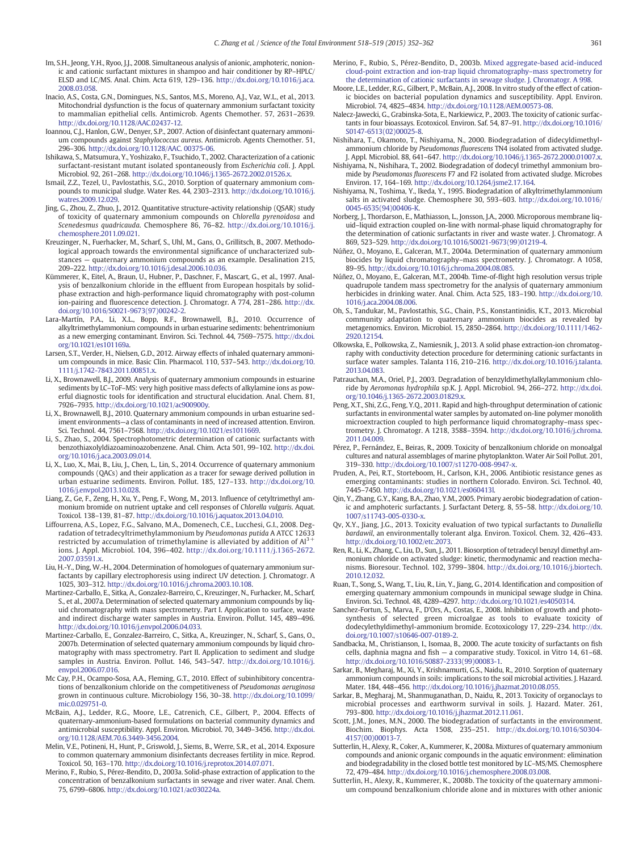- <span id="page-9-0"></span>Im, S.H., Jeong, Y.H., Ryoo, J.J., 2008. Simultaneous analysis of anionic, amphoteric, nonionic and cationic surfactant mixtures in shampoo and hair conditioner by RP–HPLC/ ELSD and LC/MS. Anal. Chim. Acta 619, 129–136. http://dx.doi.org/[10.1016/j.aca.](http://dx.doi.org/10.1016/j.aca.2008.03.058) [2008.03.058](http://dx.doi.org/10.1016/j.aca.2008.03.058).
- Inacio, A.S., Costa, G.N., Domingues, N.S., Santos, M.S., Moreno, A.J., Vaz, W.L., et al., 2013. Mitochondrial dysfunction is the focus of quaternary ammonium surfactant toxicity to mammalian epithelial cells. Antimicrob. Agents Chemother. 57, 2631–2639. http://dx.doi.org[/10.1128/AAC.02437-12.](http://dx.doi.org/10.1128/AAC.02437-12)
- Ioannou, C.J., Hanlon, G.W., Denyer, S.P., 2007. Action of disinfectant quaternary ammonium compounds against Staphylococcus aureus. Antimicrob. Agents Chemother. 51, 296–306. http://dx.doi.org[/10.1128/AAC. 00375-06.](http://dx.doi.org/10.1128/AAC. 00375-06)
- Ishikawa, S., Matsumura, Y., Yoshizako, F., Tsuchido, T., 2002. Characterization of a cationic surfactant-resistant mutant isolated spontaneously from Escherichia coli. J. Appl. Microbiol. 92, 261–268. http://dx.doi.org[/10.1046/j.1365-2672.2002.01526.x.](http://dx.doi.org/10.1046/j.1365-2672.2002.01526.x)
- Ismail, Z.Z., Tezel, U., Pavlostathis, S.G., 2010. Sorption of quaternary ammonium compounds to municipal sludge. Water Res. 44, 2303–2313. http://dx.doi.org[/10.1016/j.](http://dx.doi.org/10.1016/j.watres.2009.12.029) [watres.2009.12.029.](http://dx.doi.org/10.1016/j.watres.2009.12.029)
- Jing, G., Zhou, Z., Zhuo, J., 2012. Quantitative structure-activity relationship (QSAR) study of toxicity of quaternary ammonium compounds on Chlorella pyrenoidosa and Scenedesmus quadricauda. Chemosphere 86, 76–82. http://dx.doi.org/[10.1016/j.](http://dx.doi.org/10.1016/j.chemosphere.2011.09.021) [chemosphere.2011.09.021.](http://dx.doi.org/10.1016/j.chemosphere.2011.09.021)
- Kreuzinger, N., Fuerhacker, M., Scharf, S., Uhl, M., Gans, O., Grillitsch, B., 2007. Methodological approach towards the environmental significance of uncharacterized substances — quaternary ammonium compounds as an example. Desalination 215, 209–222. http://dx.doi.org[/10.1016/j.desal.2006.10.036](http://dx.doi.org/10.1016/j.desal.2006.10.036).
- Kümmerer, K., Eitel, A., Braun, U., Hubner, P., Daschner, F., Mascart, G., et al., 1997. Analysis of benzalkonium chloride in the effluent from European hospitals by solidphase extraction and high-performance liquid chromatography with post-column ion-pairing and fluorescence detection. J. Chromatogr. A 774, 281–286. http://dx. doi.org[/10.1016/S0021-9673\(97\)00242-2.](http://dx.doi.org/10.1016/S0021-9673(97)00242-2)
- Lara-Martín, P.A., Li, X.L., Bopp, R.F., Brownawell, B.J., 2010. Occurrence of alkyltrimethylammonium compounds in urban estuarine sediments: behentrimonium as a new emerging contaminant. Environ. Sci. Technol. 44, 7569–7575. http://dx.doi. org/[10.1021/es101169a](http://dx.doi.org/10.1021/es101169a).
- Larsen, S.T., Verder, H., Nielsen, G.D., 2012. Airway effects of inhaled quaternary ammonium compounds in mice. Basic Clin. Pharmacol. 110, 537–543. http://dx.doi.org/[10.](http://dx.doi.org/10.1111/j.1742-7843.2011.00851.x) [1111/j.1742-7843.2011.00851.x.](http://dx.doi.org/10.1111/j.1742-7843.2011.00851.x)
- Li, X., Brownawell, B.J., 2009. Analysis of quaternary ammonium compounds in estuarine sediments by LC–ToF–MS: very high positive mass defects of alkylamine ions as powerful diagnostic tools for identification and structural elucidation. Anal. Chem. 81, 7926–7935. http://dx.doi.org/[10.1021/ac900900y](http://dx.doi.org/10.1021/ac900900y).
- Li, X., Brownawell, B.J., 2010. Quaternary ammonium compounds in urban estuarine sediment environments—a class of contaminants in need of increased attention. Environ. Sci. Technol. 44, 7561–7568. http://dx.doi.org/[10.1021/es1011669](http://dx.doi.org/10.1021/es1011669).
- Li, S., Zhao, S., 2004. Spectrophotometric determination of cationic surfactants with benzothiaxolyldiazoaminoazobenzene. Anal. Chim. Acta 501, 99–102. http://dx.doi. org[/10.1016/j.aca.2003.09.014](http://dx.doi.org/10.1016/j.aca.2003.09.014).
- Li, X., Luo, X., Mai, B., Liu, J., Chen, L., Lin, S., 2014. Occurrence of quaternary ammonium compounds (QACs) and their application as a tracer for sewage derived pollution in urban estuarine sediments. Environ. Pollut. 185, 127–133. http://dx.doi.org/[10.](http://dx.doi.org/10.1016/j.envpol.2013.10.028) [1016/j.envpol.2013.10.028](http://dx.doi.org/10.1016/j.envpol.2013.10.028).
- Liang, Z., Ge, F., Zeng, H., Xu, Y., Peng, F., Wong, M., 2013. Influence of cetyltrimethyl ammonium bromide on nutrient uptake and cell responses of Chlorella vulgaris. Aquat. Toxicol. 138–139, 81–87. http://dx.doi.org[/10.1016/j.aquatox.2013.04.010.](http://dx.doi.org/10.1016/j.aquatox.2013.04.010)
- Liffourrena, A.S., Lopez, F.G., Salvano, M.A., Domenech, C.E., Lucchesi, G.I., 2008. Degradation of tetradecyltrimethylammonium by Pseudomonas putida A ATCC 12633 restricted by accumulation of trimethylamine is alleviated by addition of  $Al<sup>3+</sup>$ ions. J. Appl. Microbiol. 104, 396–402. http://dx.doi.org/[10.1111/j.1365-2672.](http://dx.doi.org/10.1111/j.1365-2672.2007.03591.x) [2007.03591.x.](http://dx.doi.org/10.1111/j.1365-2672.2007.03591.x)
- Liu, H.-Y., Ding, W.-H., 2004. Determination of homologues of quaternary ammonium surfactants by capillary electrophoresis using indirect UV detection. J. Chromatogr. A 1025, 303–312. http://dx.doi.org/[10.1016/j.chroma.2003.10.108.](http://dx.doi.org/10.1016/j.chroma.2003.10.108)
- Martinez-Carballo, E., Sitka, A., Gonzalez-Barreiro, C., Kreuzinger, N., Furhacker, M., Scharf, S., et al., 2007a. Determination of selected quaternary ammonium compounds by liquid chromatography with mass spectrometry. Part I. Application to surface, waste and indirect discharge water samples in Austria. Environ. Pollut. 145, 489–496. http://dx.doi.org[/10.1016/j.envpol.2006.04.033.](http://dx.doi.org/10.1016/j.envpol.2006.04.033)
- Martinez-Carballo, E., Gonzalez-Barreiro, C., Sitka, A., Kreuzinger, N., Scharf, S., Gans, O., 2007b. Determination of selected quaternary ammonium compounds by liquid chromatography with mass spectrometry. Part II. Application to sediment and sludge samples in Austria. Environ. Pollut. 146, 543–547. http://dx.doi.org/[10.1016/j.](http://dx.doi.org/10.1016/j.envpol.2006.07.016) [envpol.2006.07.016.](http://dx.doi.org/10.1016/j.envpol.2006.07.016)
- Mc Cay, P.H., Ocampo-Sosa, A.A., Fleming, G.T., 2010. Effect of subinhibitory concentrations of benzalkonium chloride on the competitiveness of Pseudomonas aeruginosa grown in continuous culture. Microbiology 156, 30–38. http://dx.doi.org/[10.1099/](http://dx.doi.org/10.1099/mic.0.029751-0) [mic.0.029751-0.](http://dx.doi.org/10.1099/mic.0.029751-0)
- McBain, A.J., Ledder, R.G., Moore, L.E., Catrenich, C.E., Gilbert, P., 2004. Effects of quaternary-ammonium-based formulations on bacterial community dynamics and antimicrobial susceptibility. Appl. Environ. Microbiol. 70, 3449–3456. http://dx.doi. org[/10.1128/AEM.70.6.3449-3456.2004.](http://dx.doi.org/10.1128/AEM.70.6.3449-3456.2004)
- Melin, V.E., Potineni, H., Hunt, P., Griswold, J., Siems, B., Werre, S.R., et al., 2014. Exposure to common quaternary ammonium disinfectants decreases fertility in mice. Reprod. Toxicol. 50, 163–170. http://dx.doi.org[/10.1016/j.reprotox.2014.07.071](http://dx.doi.org/10.1016/j.reprotox.2014.07.071).
- Merino, F., Rubio, S., Pérez-Bendito, D., 2003a. Solid-phase extraction of application to the concentration of benzalkonium surfactants in sewage and river water. Anal. Chem. 75, 6799–6806. http://dx.doi.org/[10.1021/ac030224a](http://dx.doi.org/10.1021/ac030224a).
- Merino, F., Rubio, S., Pérez-Bendito, D., 2003b. [Mixed aggregate-based acid-induced](http://refhub.elsevier.com/S0048-9697(15)00272-7/rf0285) [cloud-point extraction and ion-trap liquid chromatography](http://refhub.elsevier.com/S0048-9697(15)00272-7/rf0285)–mass spectrometry for [the determination of cationic surfactants in sewage sludge. J. Chromatogr. A 998](http://refhub.elsevier.com/S0048-9697(15)00272-7/rf0285).
- Moore, L.E., Ledder, R.G., Gilbert, P., McBain, A.J., 2008. In vitro study of the effect of cationic biocides on bacterial population dynamics and susceptibility. Appl. Environ. Microbiol. 74, 4825–4834. http://dx.doi.org[/10.1128/AEM.00573-08](http://dx.doi.org/10.1128/AEM.00573-08).
- Nalecz-Jawecki, G., Grabinska-Sota, E., Narkiewicz, P., 2003. The toxicity of cationic surfactants in four bioassays. Ecotoxicol. Environ. Saf. 54, 87–91. http://dx.doi.org/[10.1016/](http://dx.doi.org/10.1016/S0147-6513(02)00025-8) [S0147-6513\(02\)00025-8.](http://dx.doi.org/10.1016/S0147-6513(02)00025-8)
- Nishihara, T., Okamoto, T., Nishiyama, N., 2000. Biodegradation of didecyldimethylammonium chloride by Pseudomonas fluorescens TN4 isolated from activated sludge. J. Appl. Microbiol. 88, 641–647. http://dx.doi.org/[10.1046/j.1365-2672.2000.01007.x](http://dx.doi.org/10.1046/j.1365-2672.2000.01007.x).
- Nishiyama, N., Nishihara, T., 2002. Biodegradation of dodecyl trimethyl ammonium bromide by Pseudomonas fluorescens F7 and F2 isolated from activated sludge. Microbes Environ. 17, 164–169. http://dx.doi.org[/10.1264/jsme2.17.164.](http://dx.doi.org/10.1264/jsme2.17.164)
- Nishiyama, N., Toshima, Y., Ikeda, Y., 1995. Biodegradation of alkyltrimethylammonium salts in activated sludge. Chemosphere 30, 593–603. http://dx.doi.org[/10.1016/](http://dx.doi.org/10.1016/0045-6535(94)00406-K) [0045-6535\(94\)00406-K](http://dx.doi.org/10.1016/0045-6535(94)00406-K).
- Norberg, J., Thordarson, E., Mathiasson, L., Jonsson, J.A., 2000. Microporous membrane liquid–liquid extraction coupled on-line with normal-phase liquid chromatography for the determination of cationic surfactants in river and waste water. J. Chromatogr. A 869, 523–529. http://dx.doi.org[/10.1016/S0021-9673\(99\)01219-4.](http://dx.doi.org/10.1016/S0021-9673(99)01219-4)
- Núñez, O., Moyano, E., Galceran, M.T., 2004a. Determination of quaternary ammonium biocides by liquid chromatography–mass spectrometry. J. Chromatogr. A 1058, 89–95. http://dx.doi.org[/10.1016/j.chroma.2004.08.085](http://dx.doi.org/10.1016/j.chroma.2004.08.085).
- Núñez, O., Moyano, E., Galceran, M.T., 2004b. Time-of-flight high resolution versus triple quadrupole tandem mass spectrometry for the analysis of quaternary ammonium herbicides in drinking water. Anal. Chim. Acta 525, 183–190. http://dx.doi.org/[10.](http://dx.doi.org/10.1016/j.aca.2004.08.006) [1016/j.aca.2004.08.006](http://dx.doi.org/10.1016/j.aca.2004.08.006).
- Oh, S., Tandukar, M., Pavlostathis, S.G., Chain, P.S., Konstantinidis, K.T., 2013. Microbial community adaptation to quaternary ammonium biocides as revealed by metagenomics. Environ. Microbiol. 15, 2850–2864. http://dx.doi.org[/10.1111/1462-](http://dx.doi.org/10.1111/1462-2920.12154) [2920.12154.](http://dx.doi.org/10.1111/1462-2920.12154)
- Olkowska, E., Polkowska, Z., Namiesnik, J., 2013. A solid phase extraction-ion chromatography with conductivity detection procedure for determining cationic surfactants in surface water samples. Talanta 116, 210–216. http://dx.doi.org[/10.1016/j.talanta.](http://dx.doi.org/10.1016/j.talanta.2013.04.083) [2013.04.083](http://dx.doi.org/10.1016/j.talanta.2013.04.083).
- Patrauchan, M.A., Oriel, P.J., 2003. Degradation of benzyldimethylalkylammonium chloride by Aeromonas hydrophila sp.K. J. Appl. Microbiol. 94, 266–272. http://dx.doi. org[/10.1046/j.1365-2672.2003.01829.x.](http://dx.doi.org/10.1046/j.1365-2672.2003.01829.x)
- Peng, X.T., Shi, Z.G., Feng, Y.Q., 2011. Rapid and high-throughput determination of cationic surfactants in environmental water samples by automated on-line polymer monolith microextraction coupled to high performance liquid chromatography–mass spectrometry. J. Chromatogr. A 1218, 3588–3594. http://dx.doi.org[/10.1016/j.chroma.](http://dx.doi.org/10.1016/j.chroma.2011.04.009) [2011.04.009](http://dx.doi.org/10.1016/j.chroma.2011.04.009).
- Pérez, P., Fernández, E., Beiras, R., 2009. Toxicity of benzalkonium chloride on monoalgal cultures and natural assemblages of marine phytoplankton. Water Air Soil Pollut. 201, 319–330. http://dx.doi.org[/10.1007/s11270-008-9947-x.](http://dx.doi.org/10.1007/s11270-008-9947-x)
- Pruden, A., Pei, R.T., Storteboom, H., Carlson, K.H., 2006. Antibiotic resistance genes as emerging contaminants: studies in northern Colorado. Environ. Sci. Technol. 40, 7445–7450. http://dx.doi.org[/10.1021/es060413l](http://dx.doi.org/10.1021/es060413l).
- Qin, Y., Zhang, G.Y., Kang, B.A., Zhao, Y.M., 2005. Primary aerobic biodegradation of cationic and amphoteric surfactants. J. Surfactant Deterg. 8, 55–58. http://dx.doi.org/[10.](http://dx.doi.org/10.1007/s11743-005-0330-x) [1007/s11743-005-0330-x](http://dx.doi.org/10.1007/s11743-005-0330-x).
- Qv, X.Y., Jiang, J.G., 2013. Toxicity evaluation of two typical surfactants to Dunaliella bardawil, an environmentally tolerant alga. Environ. Toxicol. Chem. 32, 426–433. http://dx.doi.org[/10.1002/etc.2073](http://dx.doi.org/10.1002/etc.2073).
- Ren, R., Li, K., Zhang, C., Liu, D., Sun, J., 2011. Biosorption of tetradecyl benzyl dimethyl ammonium chloride on activated sludge: kinetic, thermodynamic and reaction mechanisms. Bioresour. Technol. 102, 3799–3804. http://dx.doi.org/[10.1016/j.biortech.](http://dx.doi.org/10.1016/j.biortech.2010.12.032) [2010.12.032](http://dx.doi.org/10.1016/j.biortech.2010.12.032).
- Ruan, T., Song, S., Wang, T., Liu, R., Lin, Y., Jiang, G., 2014. Identification and composition of emerging quaternary ammonium compounds in municipal sewage sludge in China. Environ. Sci. Technol. 48, 4289–4297. http://dx.doi.org[/10.1021/es4050314.](http://dx.doi.org/10.1021/es4050314)
- Sanchez-Fortun, S., Marva, F., D'Ors, A., Costas, E., 2008. Inhibition of growth and photosynthesis of selected green microalgae as tools to evaluate toxicity of dodecylethyldimethyl-ammonium bromide. Ecotoxicology 17, 229–234. http://dx. doi.org[/10.1007/s10646-007-0189-2.](http://dx.doi.org/10.1007/s10646-007-0189-2)
- Sandbacka, M., Christianson, I., Isomaa, B., 2000. The acute toxicity of surfactants on fish cells, daphnia magna and fish — a comparative study. Toxicol. in Vitro 14, 61–68. http://dx.doi.org[/10.1016/S0887-2333\(99\)00083-1.](http://dx.doi.org/10.1016/S0887-2333(99)00083-1)
- Sarkar, B., Megharaj, M., Xi, Y., Krishnamurti, G.S., Naidu, R., 2010. Sorption of quaternary ammonium compounds in soils: implications to the soil microbial activities. J. Hazard. Mater. 184, 448–456. http://dx.doi.org/[10.1016/j.jhazmat.2010.08.055.](http://dx.doi.org/10.1016/j.jhazmat.2010.08.055)
- Sarkar, B., Megharaj, M., Shanmuganathan, D., Naidu, R., 2013. Toxicity of organoclays to microbial processes and earthworm survival in soils. J. Hazard. Mater. 261, 793–800. http://dx.doi.org[/10.1016/j.jhazmat.2012.11.061](http://dx.doi.org/10.1016/j.jhazmat.2012.11.061).
- Scott, J.M., Jones, M.N., 2000. The biodegradation of surfactants in the environment. Biochim. Biophys. Acta 1508, 235–251. http://dx.doi.org[/10.1016/S0304-](http://dx.doi.org/10.1016/S0304-4157(00)00013-7) [4157\(00\)00013-7](http://dx.doi.org/10.1016/S0304-4157(00)00013-7).
- Sutterlin, H., Alexy, R., Coker, A., Kummerer, K., 2008a. Mixtures of quaternary ammonium compounds and anionic organic compounds in the aquatic environment: elimination and biodegradability in the closed bottle test monitored by LC–MS/MS. Chemosphere 72, 479–484. http://dx.doi.org/[10.1016/j.chemosphere.2008.03.008](http://dx.doi.org/10.1016/j.chemosphere.2008.03.008).
- Sutterlin, H., Alexy, R., Kummerer, K., 2008b. The toxicity of the quaternary ammonium compound benzalkonium chloride alone and in mixtures with other anionic